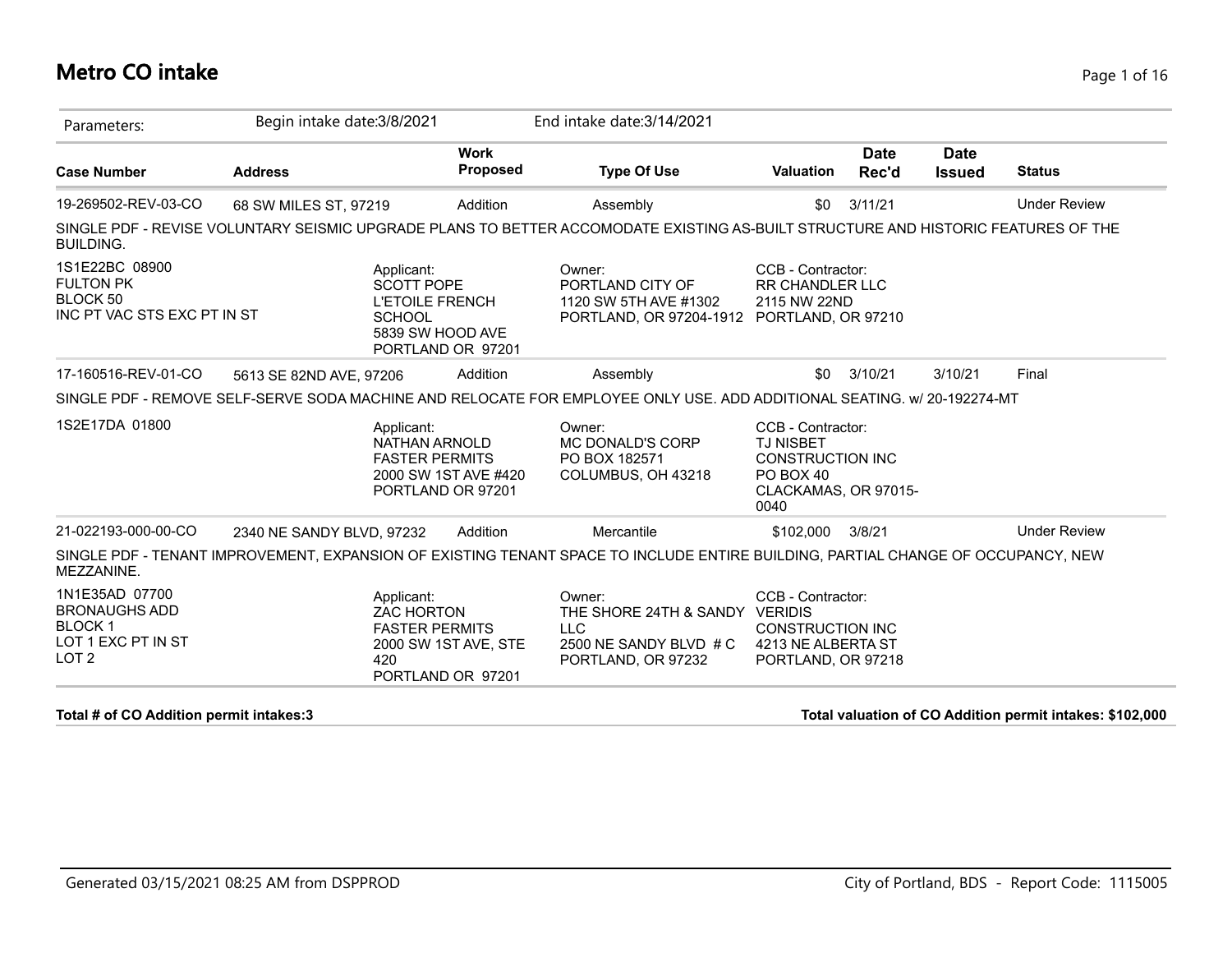#### **Metro CO intake** Page 1 of 16

| Parameters:                                                                                            | Begin intake date: 3/8/2021                                                                                                       |                                           | End intake date: 3/14/2021                                                                             |                                                                                                               |                      |                              |                     |
|--------------------------------------------------------------------------------------------------------|-----------------------------------------------------------------------------------------------------------------------------------|-------------------------------------------|--------------------------------------------------------------------------------------------------------|---------------------------------------------------------------------------------------------------------------|----------------------|------------------------------|---------------------|
| <b>Case Number</b>                                                                                     | <b>Address</b>                                                                                                                    | <b>Work</b><br>Proposed                   | <b>Type Of Use</b>                                                                                     | <b>Valuation</b>                                                                                              | <b>Date</b><br>Rec'd | <b>Date</b><br><b>Issued</b> | <b>Status</b>       |
| 19-269502-REV-03-CO                                                                                    | 68 SW MILES ST, 97219                                                                                                             | Addition                                  | Assembly                                                                                               | \$0                                                                                                           | 3/11/21              |                              | <b>Under Review</b> |
| <b>BUILDING.</b>                                                                                       | SINGLE PDF - REVISE VOLUNTARY SEISMIC UPGRADE PLANS TO BETTER ACCOMODATE EXISTING AS-BUILT STRUCTURE AND HISTORIC FEATURES OF THE |                                           |                                                                                                        |                                                                                                               |                      |                              |                     |
| 1S1E22BC 08900<br><b>FULTON PK</b><br>BLOCK 50<br>INC PT VAC STS EXC PT IN ST                          | Applicant:<br><b>SCOTT POPE</b><br><b>L'ETOILE FRENCH</b><br><b>SCHOOL</b>                                                        | 5839 SW HOOD AVE<br>PORTLAND OR 97201     | Owner:<br>PORTLAND CITY OF<br>1120 SW 5TH AVE #1302<br>PORTLAND, OR 97204-1912 PORTLAND, OR 97210      | CCB - Contractor:<br><b>RR CHANDLER LLC</b><br>2115 NW 22ND                                                   |                      |                              |                     |
| 17-160516-REV-01-CO                                                                                    | 5613 SE 82ND AVE, 97206                                                                                                           | Addition                                  | Assembly                                                                                               | \$0                                                                                                           | 3/10/21              | 3/10/21                      | Final               |
|                                                                                                        | SINGLE PDF - REMOVE SELF-SERVE SODA MACHINE AND RELOCATE FOR EMPLOYEE ONLY USE. ADD ADDITIONAL SEATING. w/ 20-192274-MT           |                                           |                                                                                                        |                                                                                                               |                      |                              |                     |
| 1S2E17DA 01800                                                                                         | Applicant:<br>NATHAN ARNOLD<br><b>FASTER PERMITS</b>                                                                              | 2000 SW 1ST AVE #420<br>PORTLAND OR 97201 | Owner:<br>MC DONALD'S CORP<br>PO BOX 182571<br>COLUMBUS, OH 43218                                      | CCB - Contractor:<br><b>TJ NISBET</b><br><b>CONSTRUCTION INC</b><br>PO BOX 40<br>CLACKAMAS, OR 97015-<br>0040 |                      |                              |                     |
| 21-022193-000-00-CO                                                                                    | 2340 NE SANDY BLVD, 97232                                                                                                         | Addition                                  | Mercantile                                                                                             | \$102,000                                                                                                     | 3/8/21               |                              | <b>Under Review</b> |
| MEZZANINE.                                                                                             | SINGLE PDF - TENANT IMPROVEMENT, EXPANSION OF EXISTING TENANT SPACE TO INCLUDE ENTIRE BUILDING, PARTIAL CHANGE OF OCCUPANCY, NEW  |                                           |                                                                                                        |                                                                                                               |                      |                              |                     |
| 1N1E35AD 07700<br><b>BRONAUGHS ADD</b><br>BLOCK <sub>1</sub><br>LOT 1 EXC PT IN ST<br>LOT <sub>2</sub> | Applicant:<br><b>ZAC HORTON</b><br><b>FASTER PERMITS</b><br>420                                                                   | 2000 SW 1ST AVE, STE<br>PORTLAND OR 97201 | Owner:<br>THE SHORE 24TH & SANDY VERIDIS<br><b>LLC</b><br>2500 NE SANDY BLVD # C<br>PORTLAND, OR 97232 | CCB - Contractor:<br><b>CONSTRUCTION INC</b><br>4213 NE ALBERTA ST<br>PORTLAND, OR 97218                      |                      |                              |                     |

**Total # of CO Addition permit intakes:3 Total valuation of CO Addition permit intakes: \$102,000**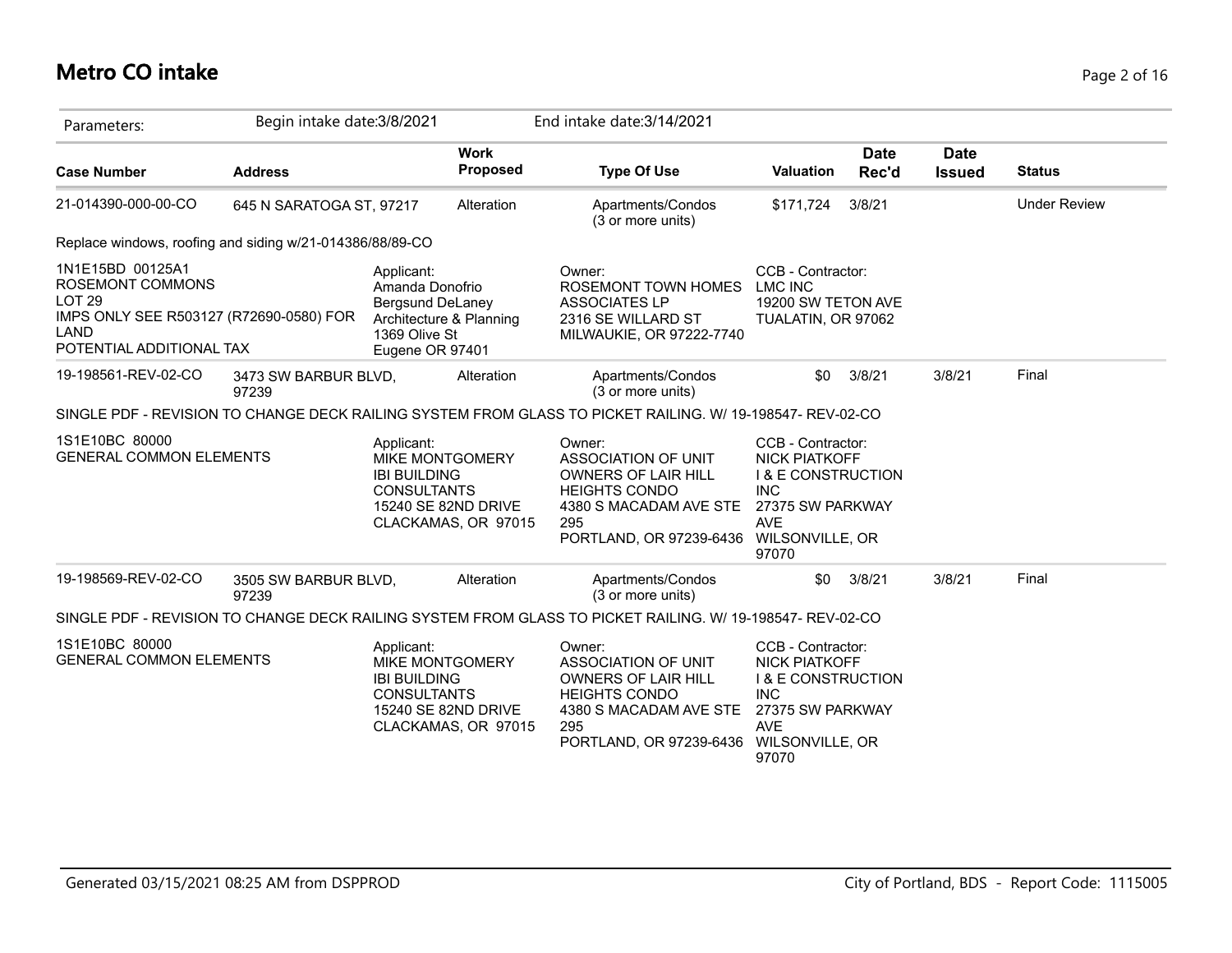# **Metro CO intake** Page 2 of 16

| Parameters:                                                                                                                                 | Begin intake date: 3/8/2021   |                                                                                                                  |                                | End intake date: 3/14/2021                                                                                                                               |                                                                                                                                                        |                      |                              |                     |
|---------------------------------------------------------------------------------------------------------------------------------------------|-------------------------------|------------------------------------------------------------------------------------------------------------------|--------------------------------|----------------------------------------------------------------------------------------------------------------------------------------------------------|--------------------------------------------------------------------------------------------------------------------------------------------------------|----------------------|------------------------------|---------------------|
| <b>Case Number</b>                                                                                                                          | <b>Address</b>                |                                                                                                                  | <b>Work</b><br><b>Proposed</b> | <b>Type Of Use</b>                                                                                                                                       | <b>Valuation</b>                                                                                                                                       | <b>Date</b><br>Rec'd | <b>Date</b><br><b>Issued</b> | <b>Status</b>       |
| 21-014390-000-00-CO                                                                                                                         | 645 N SARATOGA ST, 97217      |                                                                                                                  | Alteration                     | Apartments/Condos<br>(3 or more units)                                                                                                                   | \$171,724                                                                                                                                              | 3/8/21               |                              | <b>Under Review</b> |
| Replace windows, roofing and siding w/21-014386/88/89-CO                                                                                    |                               |                                                                                                                  |                                |                                                                                                                                                          |                                                                                                                                                        |                      |                              |                     |
| 1N1E15BD 00125A1<br><b>ROSEMONT COMMONS</b><br><b>LOT 29</b><br>IMPS ONLY SEE R503127 (R72690-0580) FOR<br>LAND<br>POTENTIAL ADDITIONAL TAX |                               | Applicant:<br>Amanda Donofrio<br>Bergsund DeLaney<br>Architecture & Planning<br>1369 Olive St<br>Eugene OR 97401 |                                | Owner:<br>ROSEMONT TOWN HOMES<br><b>ASSOCIATES LP</b><br>2316 SE WILLARD ST<br>MILWAUKIE, OR 97222-7740                                                  | CCB - Contractor:<br><b>LMC INC</b><br>19200 SW TETON AVE<br>TUALATIN, OR 97062                                                                        |                      |                              |                     |
| 19-198561-REV-02-CO                                                                                                                         | 3473 SW BARBUR BLVD,<br>97239 |                                                                                                                  | Alteration                     | Apartments/Condos<br>(3 or more units)                                                                                                                   | \$0                                                                                                                                                    | 3/8/21               | 3/8/21                       | Final               |
|                                                                                                                                             |                               |                                                                                                                  |                                | SINGLE PDF - REVISION TO CHANGE DECK RAILING SYSTEM FROM GLASS TO PICKET RAILING. W/ 19-198547- REV-02-CO                                                |                                                                                                                                                        |                      |                              |                     |
| 1S1E10BC 80000<br><b>GENERAL COMMON ELEMENTS</b>                                                                                            |                               | Applicant:<br><b>MIKE MONTGOMERY</b><br><b>IBI BUILDING</b><br><b>CONSULTANTS</b><br>15240 SE 82ND DRIVE         | CLACKAMAS, OR 97015            | Owner:<br>ASSOCIATION OF UNIT<br>OWNERS OF LAIR HILL<br><b>HEIGHTS CONDO</b><br>4380 S MACADAM AVE STE<br>295<br>PORTLAND, OR 97239-6436 WILSONVILLE, OR | CCB - Contractor:<br><b>NICK PIATKOFF</b><br><b>I &amp; E CONSTRUCTION</b><br><b>INC</b><br>27375 SW PARKWAY<br><b>AVE</b><br>97070                    |                      |                              |                     |
| 19-198569-REV-02-CO                                                                                                                         | 3505 SW BARBUR BLVD,<br>97239 |                                                                                                                  | Alteration                     | Apartments/Condos<br>(3 or more units)                                                                                                                   | \$0                                                                                                                                                    | 3/8/21               | 3/8/21                       | Final               |
|                                                                                                                                             |                               |                                                                                                                  |                                | SINGLE PDF - REVISION TO CHANGE DECK RAILING SYSTEM FROM GLASS TO PICKET RAILING. W/ 19-198547- REV-02-CO                                                |                                                                                                                                                        |                      |                              |                     |
| 1S1E10BC 80000<br><b>GENERAL COMMON ELEMENTS</b>                                                                                            |                               | Applicant:<br><b>MIKE MONTGOMERY</b><br><b>IBI BUILDING</b><br><b>CONSULTANTS</b><br>15240 SE 82ND DRIVE         | CLACKAMAS, OR 97015            | Owner:<br>ASSOCIATION OF UNIT<br>OWNERS OF LAIR HILL<br><b>HEIGHTS CONDO</b><br>4380 S MACADAM AVE STE<br>295<br>PORTLAND, OR 97239-6436                 | CCB - Contractor:<br><b>NICK PIATKOFF</b><br><b>I &amp; E CONSTRUCTION</b><br><b>INC</b><br>27375 SW PARKWAY<br><b>AVE</b><br>WILSONVILLE, OR<br>97070 |                      |                              |                     |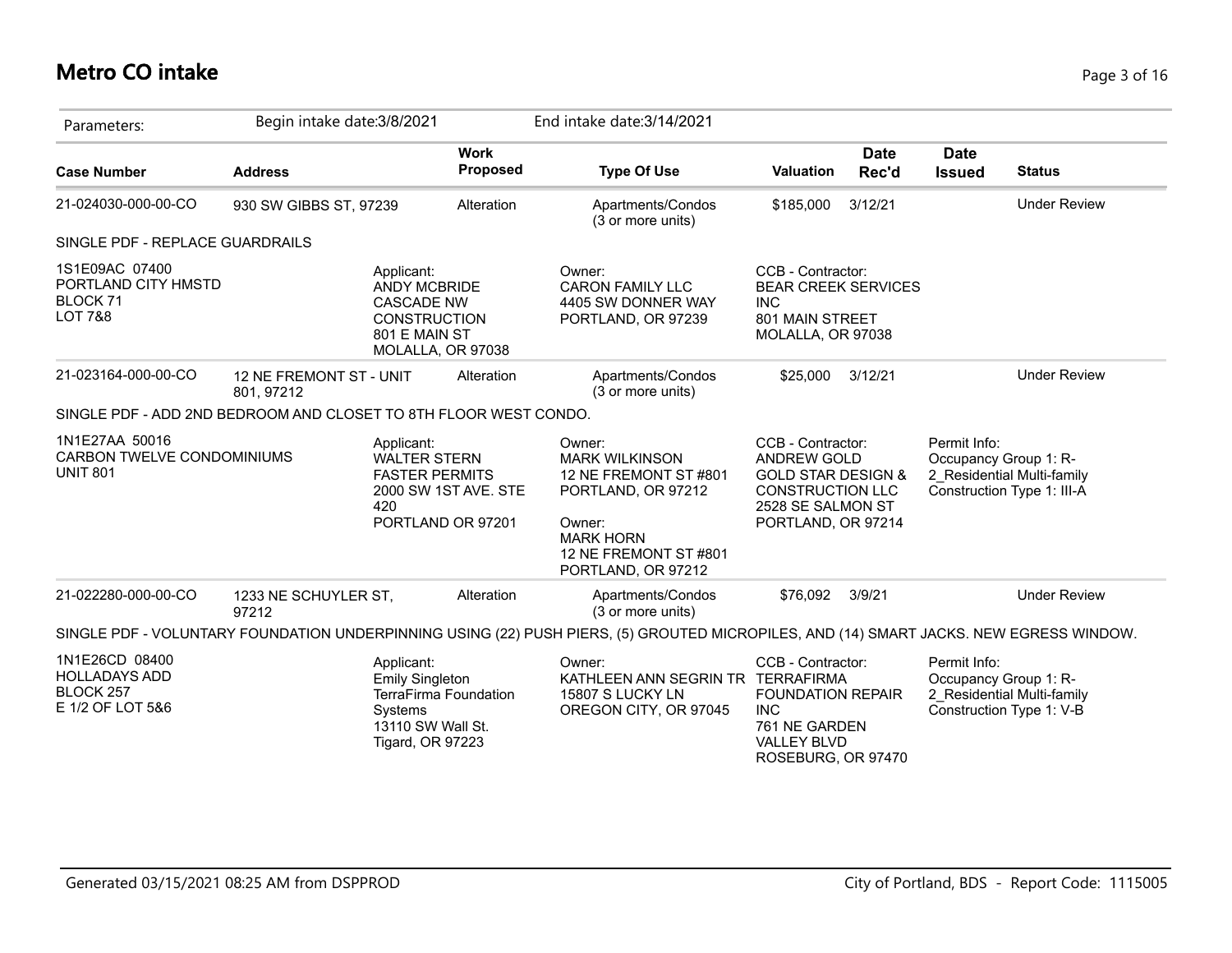#### **Metro CO intake** Page 3 of 16

| Parameters:                                                                        | Begin intake date: 3/8/2021           |                                                                                                                   |                         | End intake date: 3/14/2021                                                                                                                                  |                                                                                                                                         |                      |                              |                                                                                   |
|------------------------------------------------------------------------------------|---------------------------------------|-------------------------------------------------------------------------------------------------------------------|-------------------------|-------------------------------------------------------------------------------------------------------------------------------------------------------------|-----------------------------------------------------------------------------------------------------------------------------------------|----------------------|------------------------------|-----------------------------------------------------------------------------------|
| <b>Case Number</b>                                                                 | <b>Address</b>                        |                                                                                                                   | <b>Work</b><br>Proposed | <b>Type Of Use</b>                                                                                                                                          | <b>Valuation</b>                                                                                                                        | <b>Date</b><br>Rec'd | <b>Date</b><br><b>Issued</b> | <b>Status</b>                                                                     |
| 21-024030-000-00-CO                                                                | 930 SW GIBBS ST, 97239                |                                                                                                                   | Alteration              | Apartments/Condos<br>(3 or more units)                                                                                                                      | \$185,000                                                                                                                               | 3/12/21              |                              | <b>Under Review</b>                                                               |
| SINGLE PDF - REPLACE GUARDRAILS                                                    |                                       |                                                                                                                   |                         |                                                                                                                                                             |                                                                                                                                         |                      |                              |                                                                                   |
| 1S1E09AC 07400<br>PORTLAND CITY HMSTD<br>BLOCK <sub>71</sub><br><b>LOT 7&amp;8</b> |                                       | Applicant:<br><b>ANDY MCBRIDE</b><br><b>CASCADE NW</b><br>CONSTRUCTION<br>801 E MAIN ST<br>MOLALLA, OR 97038      |                         | Owner:<br><b>CARON FAMILY LLC</b><br>4405 SW DONNER WAY<br>PORTLAND, OR 97239                                                                               | CCB - Contractor:<br><b>BEAR CREEK SERVICES</b><br><b>INC</b><br>801 MAIN STREET<br>MOLALLA, OR 97038                                   |                      |                              |                                                                                   |
| 21-023164-000-00-CO                                                                | 12 NE FREMONT ST - UNIT<br>801, 97212 |                                                                                                                   | Alteration              | Apartments/Condos<br>(3 or more units)                                                                                                                      | \$25,000                                                                                                                                | 3/12/21              |                              | <b>Under Review</b>                                                               |
| SINGLE PDF - ADD 2ND BEDROOM AND CLOSET TO 8TH FLOOR WEST CONDO.                   |                                       |                                                                                                                   |                         |                                                                                                                                                             |                                                                                                                                         |                      |                              |                                                                                   |
| 1N1E27AA 50016<br>CARBON TWELVE CONDOMINIUMS<br><b>UNIT 801</b>                    |                                       | Applicant:<br><b>WALTER STERN</b><br><b>FASTER PERMITS</b><br>420<br>PORTLAND OR 97201                            | 2000 SW 1ST AVE. STE    | Owner:<br><b>MARK WILKINSON</b><br>12 NE FREMONT ST #801<br>PORTLAND, OR 97212<br>Owner:<br><b>MARK HORN</b><br>12 NE FREMONT ST #801<br>PORTLAND, OR 97212 | CCB - Contractor:<br>ANDREW GOLD<br><b>GOLD STAR DESIGN &amp;</b><br><b>CONSTRUCTION LLC</b><br>2528 SE SALMON ST<br>PORTLAND, OR 97214 |                      | Permit Info:                 | Occupancy Group 1: R-<br>2 Residential Multi-family<br>Construction Type 1: III-A |
| 21-022280-000-00-CO                                                                | 1233 NE SCHUYLER ST,<br>97212         |                                                                                                                   | Alteration              | Apartments/Condos<br>(3 or more units)                                                                                                                      | \$76,092                                                                                                                                | 3/9/21               |                              | <b>Under Review</b>                                                               |
|                                                                                    |                                       |                                                                                                                   |                         | SINGLE PDF - VOLUNTARY FOUNDATION UNDERPINNING USING (22) PUSH PIERS, (5) GROUTED MICROPILES, AND (14) SMART JACKS. NEW EGRESS WINDOW.                      |                                                                                                                                         |                      |                              |                                                                                   |
| 1N1E26CD 08400<br><b>HOLLADAYS ADD</b><br>BLOCK 257<br>E 1/2 OF LOT 5&6            |                                       | Applicant:<br><b>Emily Singleton</b><br>TerraFirma Foundation<br>Systems<br>13110 SW Wall St.<br>Tigard, OR 97223 |                         | Owner:<br>KATHLEEN ANN SEGRIN TR TERRAFIRMA<br>15807 S LUCKY LN<br>OREGON CITY, OR 97045                                                                    | CCB - Contractor:<br><b>FOUNDATION REPAIR</b><br><b>INC</b><br>761 NE GARDEN<br><b>VALLEY BLVD</b><br>ROSEBURG, OR 97470                |                      | Permit Info:                 | Occupancy Group 1: R-<br>2 Residential Multi-family<br>Construction Type 1: V-B   |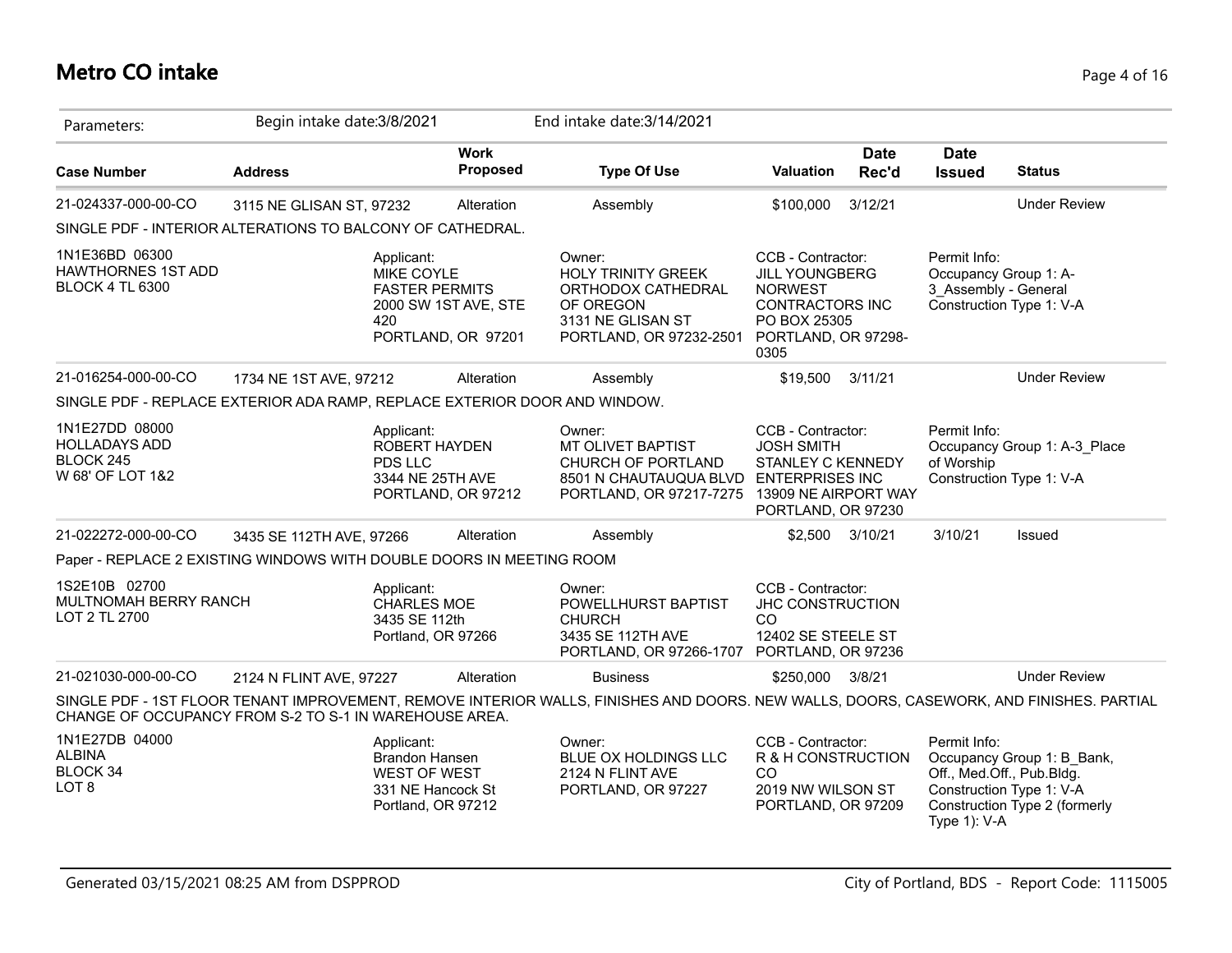# **Metro CO intake** Page 4 of 16

| Parameters:                                                               | Begin intake date: 3/8/2021 |                                                                                         |                                            | End intake date: 3/14/2021                                                                                                              |                                                                                                                                       |                      |                                                                                           |                                                             |
|---------------------------------------------------------------------------|-----------------------------|-----------------------------------------------------------------------------------------|--------------------------------------------|-----------------------------------------------------------------------------------------------------------------------------------------|---------------------------------------------------------------------------------------------------------------------------------------|----------------------|-------------------------------------------------------------------------------------------|-------------------------------------------------------------|
| <b>Case Number</b>                                                        | <b>Address</b>              |                                                                                         | <b>Work</b><br><b>Proposed</b>             | <b>Type Of Use</b>                                                                                                                      | Valuation                                                                                                                             | <b>Date</b><br>Rec'd | <b>Date</b><br><b>Issued</b>                                                              | <b>Status</b>                                               |
| 21-024337-000-00-CO                                                       | 3115 NE GLISAN ST, 97232    |                                                                                         | Alteration                                 | Assembly                                                                                                                                | \$100,000                                                                                                                             | 3/12/21              |                                                                                           | <b>Under Review</b>                                         |
| SINGLE PDF - INTERIOR ALTERATIONS TO BALCONY OF CATHEDRAL.                |                             |                                                                                         |                                            |                                                                                                                                         |                                                                                                                                       |                      |                                                                                           |                                                             |
| 1N1E36BD 06300<br><b>HAWTHORNES 1ST ADD</b><br><b>BLOCK 4 TL 6300</b>     |                             | Applicant:<br>MIKE COYLE<br><b>FASTER PERMITS</b><br>420                                | 2000 SW 1ST AVE, STE<br>PORTLAND, OR 97201 | Owner:<br><b>HOLY TRINITY GREEK</b><br>ORTHODOX CATHEDRAL<br>OF OREGON<br>3131 NE GLISAN ST<br>PORTLAND, OR 97232-2501                  | CCB - Contractor:<br><b>JILL YOUNGBERG</b><br><b>NORWEST</b><br><b>CONTRACTORS INC</b><br>PO BOX 25305<br>PORTLAND, OR 97298-<br>0305 |                      | Permit Info:<br>Occupancy Group 1: A-<br>3 Assembly - General<br>Construction Type 1: V-A |                                                             |
| 21-016254-000-00-CO                                                       | 1734 NE 1ST AVE, 97212      |                                                                                         | Alteration                                 | Assembly                                                                                                                                | \$19,500                                                                                                                              | 3/11/21              |                                                                                           | <b>Under Review</b>                                         |
| SINGLE PDF - REPLACE EXTERIOR ADA RAMP, REPLACE EXTERIOR DOOR AND WINDOW. |                             |                                                                                         |                                            |                                                                                                                                         |                                                                                                                                       |                      |                                                                                           |                                                             |
| 1N1E27DD 08000<br><b>HOLLADAYS ADD</b><br>BLOCK 245<br>W 68' OF LOT 1&2   |                             | Applicant:<br>ROBERT HAYDEN<br>PDS LLC<br>3344 NE 25TH AVE                              | PORTLAND, OR 97212                         | Owner:<br>MT OLIVET BAPTIST<br>CHURCH OF PORTLAND<br>8501 N CHAUTAUQUA BLVD<br>PORTLAND, OR 97217-7275 13909 NE AIRPORT WAY             | CCB - Contractor:<br><b>JOSH SMITH</b><br><b>STANLEY C KENNEDY</b><br><b>ENTERPRISES INC</b><br>PORTLAND, OR 97230                    |                      | Permit Info:<br>of Worship<br>Construction Type 1: V-A                                    | Occupancy Group 1: A-3 Place                                |
| 21-022272-000-00-CO                                                       | 3435 SE 112TH AVE, 97266    |                                                                                         | Alteration                                 | Assembly                                                                                                                                |                                                                                                                                       | \$2,500 3/10/21      | 3/10/21                                                                                   | Issued                                                      |
| Paper - REPLACE 2 EXISTING WINDOWS WITH DOUBLE DOORS IN MEETING ROOM      |                             |                                                                                         |                                            |                                                                                                                                         |                                                                                                                                       |                      |                                                                                           |                                                             |
| 1S2E10B 02700<br>MULTNOMAH BERRY RANCH<br>LOT 2 TL 2700                   |                             | Applicant:<br>CHARLES MOE<br>3435 SE 112th<br>Portland, OR 97266                        |                                            | Owner:<br>POWELLHURST BAPTIST<br><b>CHURCH</b><br>3435 SE 112TH AVE<br>PORTLAND, OR 97266-1707                                          | CCB - Contractor:<br>JHC CONSTRUCTION<br>CO<br>12402 SE STEELE ST<br>PORTLAND, OR 97236                                               |                      |                                                                                           |                                                             |
| 21-021030-000-00-CO                                                       | 2124 N FLINT AVE, 97227     |                                                                                         | Alteration                                 | <b>Business</b>                                                                                                                         | \$250,000                                                                                                                             | 3/8/21               |                                                                                           | <b>Under Review</b>                                         |
| CHANGE OF OCCUPANCY FROM S-2 TO S-1 IN WAREHOUSE AREA.                    |                             |                                                                                         |                                            | SINGLE PDF - 1ST FLOOR TENANT IMPROVEMENT, REMOVE INTERIOR WALLS, FINISHES AND DOORS. NEW WALLS, DOORS, CASEWORK, AND FINISHES. PARTIAL |                                                                                                                                       |                      |                                                                                           |                                                             |
| 1N1E27DB 04000<br><b>ALBINA</b><br>BLOCK 34<br>LOT <sub>8</sub>           |                             | Applicant:<br>Brandon Hansen<br>WEST OF WEST<br>331 NE Hancock St<br>Portland, OR 97212 |                                            | Owner:<br>BLUE OX HOLDINGS LLC<br>2124 N FLINT AVE<br>PORTLAND, OR 97227                                                                | CCB - Contractor:<br>R & H CONSTRUCTION<br>CO<br>2019 NW WILSON ST<br>PORTLAND, OR 97209                                              |                      | Permit Info:<br>Off., Med.Off., Pub.Bldg.<br>Construction Type 1: V-A<br>Type 1): V-A     | Occupancy Group 1: B Bank,<br>Construction Type 2 (formerly |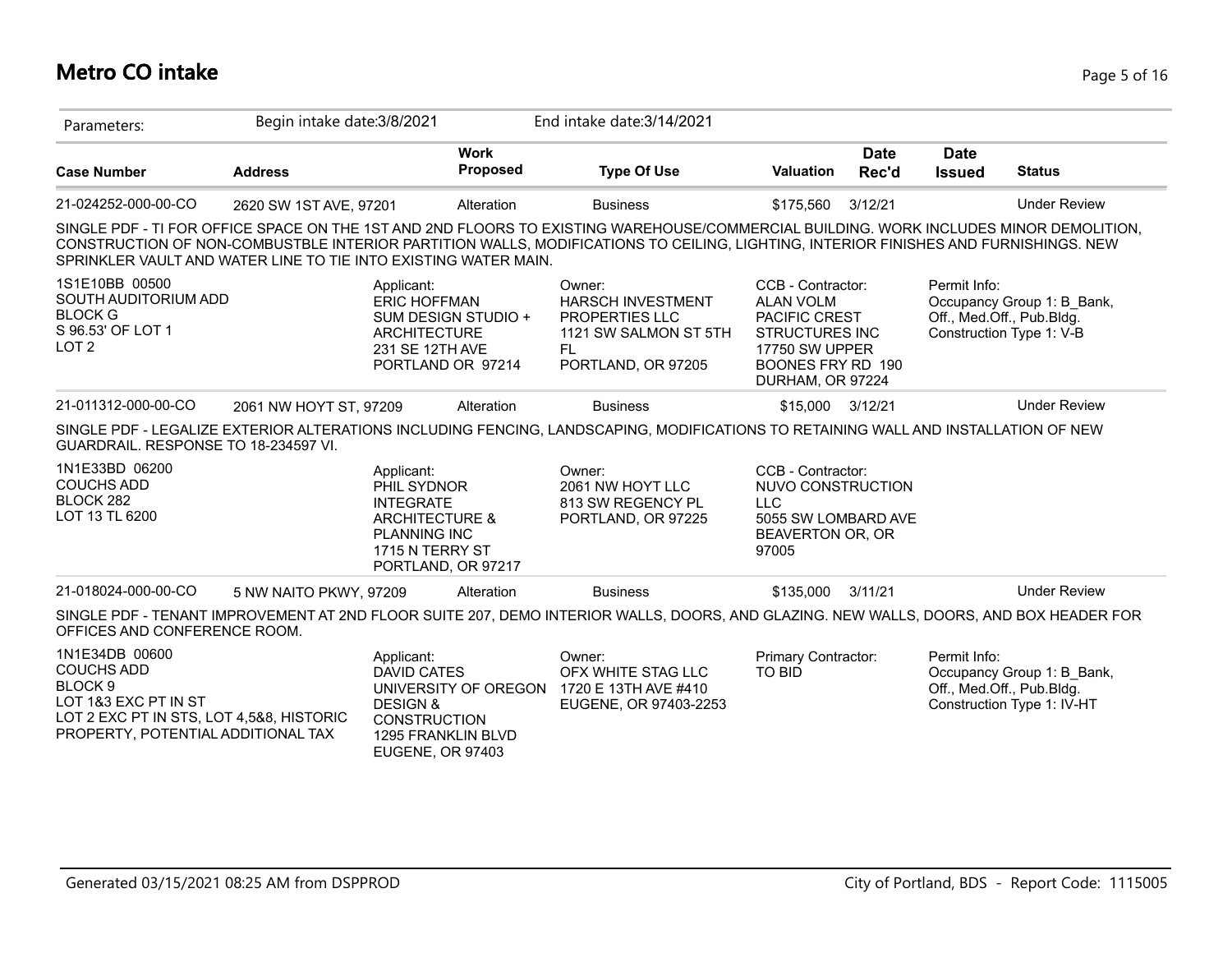# **Metro CO intake** Page 5 of 16

| Parameters:                                                                                       | Begin intake date: 3/8/2021 |                                                                                                                                            | End intake date: 3/14/2021                                                                                                                                                                                                                                                   |                                                                                                                                                          |                      |                              |                                                                                     |
|---------------------------------------------------------------------------------------------------|-----------------------------|--------------------------------------------------------------------------------------------------------------------------------------------|------------------------------------------------------------------------------------------------------------------------------------------------------------------------------------------------------------------------------------------------------------------------------|----------------------------------------------------------------------------------------------------------------------------------------------------------|----------------------|------------------------------|-------------------------------------------------------------------------------------|
| <b>Case Number</b>                                                                                | <b>Address</b>              | <b>Work</b><br>Proposed                                                                                                                    | <b>Type Of Use</b>                                                                                                                                                                                                                                                           | Valuation                                                                                                                                                | <b>Date</b><br>Rec'd | <b>Date</b><br><b>Issued</b> | <b>Status</b>                                                                       |
| 21-024252-000-00-CO                                                                               | 2620 SW 1ST AVE, 97201      | Alteration                                                                                                                                 | <b>Business</b>                                                                                                                                                                                                                                                              | \$175,560                                                                                                                                                | 3/12/21              |                              | <b>Under Review</b>                                                                 |
|                                                                                                   |                             | SPRINKLER VAULT AND WATER LINE TO TIE INTO EXISTING WATER MAIN.                                                                            | SINGLE PDF - TI FOR OFFICE SPACE ON THE 1ST AND 2ND FLOORS TO EXISTING WAREHOUSE/COMMERCIAL BUILDING. WORK INCLUDES MINOR DEMOLITION,<br>CONSTRUCTION OF NON-COMBUSTBLE INTERIOR PARTITION WALLS, MODIFICATIONS TO CEILING, LIGHTING, INTERIOR FINISHES AND FURNISHINGS. NEW |                                                                                                                                                          |                      |                              |                                                                                     |
| 1S1E10BB 00500<br>SOUTH AUDITORIUM ADD<br><b>BLOCK G</b><br>S 96.53' OF LOT 1<br>LOT <sub>2</sub> |                             | Applicant:<br><b>ERIC HOFFMAN</b><br>SUM DESIGN STUDIO +<br><b>ARCHITECTURE</b><br>231 SE 12TH AVE<br>PORTLAND OR 97214                    | Owner:<br><b>HARSCH INVESTMENT</b><br>PROPERTIES LLC<br>1121 SW SALMON ST 5TH<br>FL.<br>PORTLAND, OR 97205                                                                                                                                                                   | CCB - Contractor:<br><b>ALAN VOLM</b><br><b>PACIFIC CREST</b><br><b>STRUCTURES INC</b><br><b>17750 SW UPPER</b><br>BOONES FRY RD 190<br>DURHAM, OR 97224 |                      | Permit Info:                 | Occupancy Group 1: B Bank,<br>Off., Med.Off., Pub.Bldg.<br>Construction Type 1: V-B |
| 21-011312-000-00-CO                                                                               | 2061 NW HOYT ST, 97209      | Alteration                                                                                                                                 | <b>Business</b>                                                                                                                                                                                                                                                              | \$15,000                                                                                                                                                 | 3/12/21              |                              | <b>Under Review</b>                                                                 |
| GUARDRAIL. RESPONSE TO 18-234597 VI.                                                              |                             |                                                                                                                                            | SINGLE PDF - LEGALIZE EXTERIOR ALTERATIONS INCLUDING FENCING, LANDSCAPING, MODIFICATIONS TO RETAINING WALL AND INSTALLATION OF NEW                                                                                                                                           |                                                                                                                                                          |                      |                              |                                                                                     |
| 1N1E33BD 06200<br><b>COUCHS ADD</b><br>BLOCK 282<br>LOT 13 TL 6200                                |                             | Applicant:<br>PHIL SYDNOR<br><b>INTEGRATE</b><br><b>ARCHITECTURE &amp;</b><br><b>PLANNING INC</b><br>1715 N TERRY ST<br>PORTLAND, OR 97217 | Owner:<br>2061 NW HOYT LLC<br>813 SW REGENCY PL<br>PORTLAND, OR 97225                                                                                                                                                                                                        | CCB - Contractor:<br>NUVO CONSTRUCTION<br><b>LLC</b><br>5055 SW LOMBARD AVE<br>BEAVERTON OR, OR<br>97005                                                 |                      |                              |                                                                                     |
| 21-018024-000-00-CO                                                                               | 5 NW NAITO PKWY, 97209      | Alteration                                                                                                                                 | <b>Business</b>                                                                                                                                                                                                                                                              | \$135,000                                                                                                                                                | 3/11/21              |                              | <b>Under Review</b>                                                                 |
|                                                                                                   |                             |                                                                                                                                            |                                                                                                                                                                                                                                                                              |                                                                                                                                                          |                      |                              |                                                                                     |
| OFFICES AND CONFERENCE ROOM.                                                                      |                             |                                                                                                                                            | SINGLE PDF - TENANT IMPROVEMENT AT 2ND FLOOR SUITE 207, DEMO INTERIOR WALLS, DOORS, AND GLAZING. NEW WALLS, DOORS, AND BOX HEADER FOR                                                                                                                                        |                                                                                                                                                          |                      |                              |                                                                                     |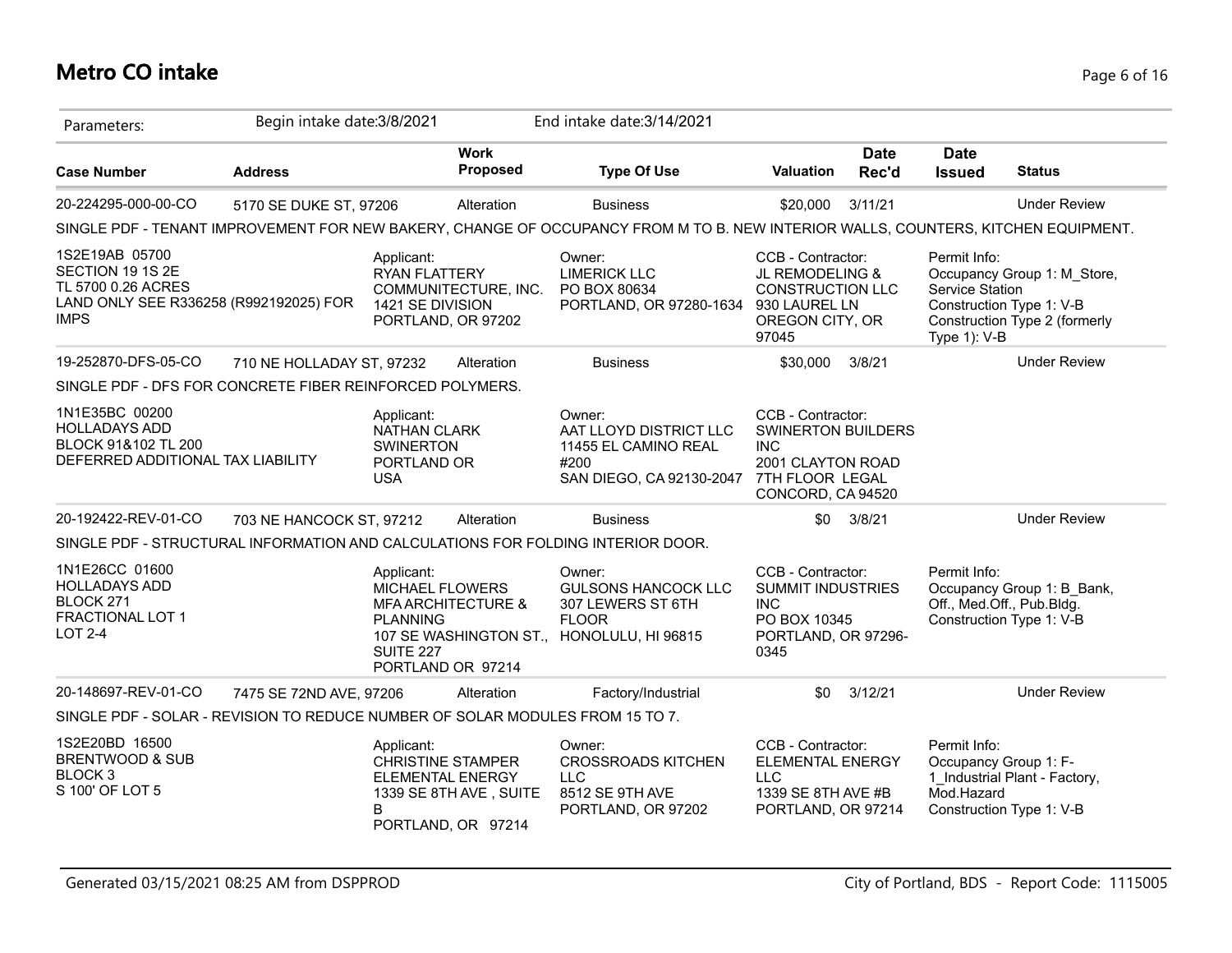# **Metro CO intake** Page 6 of 16

| Parameters:                                                                                                       | Begin intake date: 3/8/2021 |                                                                             |                                                                                                     | End intake date: 3/14/2021                                                                                                        |                                                                                                                           |                      |                                                     |                                                                                          |
|-------------------------------------------------------------------------------------------------------------------|-----------------------------|-----------------------------------------------------------------------------|-----------------------------------------------------------------------------------------------------|-----------------------------------------------------------------------------------------------------------------------------------|---------------------------------------------------------------------------------------------------------------------------|----------------------|-----------------------------------------------------|------------------------------------------------------------------------------------------|
| <b>Case Number</b>                                                                                                | <b>Address</b>              |                                                                             | <b>Work</b><br>Proposed                                                                             | <b>Type Of Use</b>                                                                                                                | Valuation                                                                                                                 | <b>Date</b><br>Rec'd | <b>Date</b><br><b>Issued</b>                        | <b>Status</b>                                                                            |
| 20-224295-000-00-CO                                                                                               | 5170 SE DUKE ST, 97206      |                                                                             | Alteration                                                                                          | <b>Business</b>                                                                                                                   | \$20,000                                                                                                                  | 3/11/21              |                                                     | <b>Under Review</b>                                                                      |
|                                                                                                                   |                             |                                                                             |                                                                                                     | SINGLE PDF - TENANT IMPROVEMENT FOR NEW BAKERY, CHANGE OF OCCUPANCY FROM M TO B. NEW INTERIOR WALLS, COUNTERS, KITCHEN EQUIPMENT. |                                                                                                                           |                      |                                                     |                                                                                          |
| 1S2E19AB 05700<br>SECTION 19 1S 2E<br>TL 5700 0.26 ACRES<br>LAND ONLY SEE R336258 (R992192025) FOR<br><b>IMPS</b> |                             | Applicant:<br>RYAN FLATTERY<br>1421 SE DIVISION                             | COMMUNITECTURE, INC.<br>PORTLAND, OR 97202                                                          | Owner:<br><b>LIMERICK LLC</b><br>PO BOX 80634<br>PORTLAND, OR 97280-1634 930 LAUREL LN                                            | CCB - Contractor:<br>JL REMODELING &<br><b>CONSTRUCTION LLC</b><br>OREGON CITY, OR<br>97045                               |                      | Permit Info:<br>Service Station<br>Type 1): V-B     | Occupancy Group 1: M_Store,<br>Construction Type 1: V-B<br>Construction Type 2 (formerly |
| 19-252870-DFS-05-CO                                                                                               | 710 NE HOLLADAY ST, 97232   |                                                                             | Alteration                                                                                          | <b>Business</b>                                                                                                                   | \$30,000                                                                                                                  | 3/8/21               |                                                     | <b>Under Review</b>                                                                      |
| SINGLE PDF - DFS FOR CONCRETE FIBER REINFORCED POLYMERS.                                                          |                             |                                                                             |                                                                                                     |                                                                                                                                   |                                                                                                                           |                      |                                                     |                                                                                          |
| 1N1E35BC 00200<br><b>HOLLADAYS ADD</b><br>BLOCK 91&102 TL 200<br>DEFERRED ADDITIONAL TAX LIABILITY                |                             | Applicant:<br>NATHAN CLARK<br><b>SWINERTON</b><br>PORTLAND OR<br><b>USA</b> |                                                                                                     | Owner:<br>AAT LLOYD DISTRICT LLC<br>11455 EL CAMINO REAL<br>#200<br>SAN DIEGO, CA 92130-2047                                      | CCB - Contractor:<br><b>SWINERTON BUILDERS</b><br><b>INC</b><br>2001 CLAYTON ROAD<br>7TH FLOOR LEGAL<br>CONCORD, CA 94520 |                      |                                                     |                                                                                          |
| 20-192422-REV-01-CO                                                                                               | 703 NE HANCOCK ST, 97212    |                                                                             | Alteration                                                                                          | <b>Business</b>                                                                                                                   | \$0                                                                                                                       | 3/8/21               |                                                     | <b>Under Review</b>                                                                      |
| SINGLE PDF - STRUCTURAL INFORMATION AND CALCULATIONS FOR FOLDING INTERIOR DOOR.                                   |                             |                                                                             |                                                                                                     |                                                                                                                                   |                                                                                                                           |                      |                                                     |                                                                                          |
| 1N1E26CC 01600<br><b>HOLLADAYS ADD</b><br>BLOCK 271<br>FRACTIONAL LOT 1<br><b>LOT 2-4</b>                         |                             | Applicant:<br><b>PLANNING</b><br><b>SUITE 227</b>                           | <b>MICHAEL FLOWERS</b><br><b>MFA ARCHITECTURE &amp;</b><br>PORTLAND OR 97214                        | Owner:<br><b>GULSONS HANCOCK LLC</b><br>307 LEWERS ST 6TH<br><b>FLOOR</b><br>107 SE WASHINGTON ST., HONOLULU, HI 96815            | CCB - Contractor:<br><b>SUMMIT INDUSTRIES</b><br><b>INC</b><br>PO BOX 10345<br>PORTLAND, OR 97296-<br>0345                |                      | Permit Info:                                        | Occupancy Group 1: B_Bank,<br>Off., Med.Off., Pub.Bldg.<br>Construction Type 1: V-B      |
| 20-148697-REV-01-CO                                                                                               | 7475 SE 72ND AVE, 97206     |                                                                             | Alteration                                                                                          | Factory/Industrial                                                                                                                | \$0                                                                                                                       | 3/12/21              |                                                     | <b>Under Review</b>                                                                      |
| SINGLE PDF - SOLAR - REVISION TO REDUCE NUMBER OF SOLAR MODULES FROM 15 TO 7.                                     |                             |                                                                             |                                                                                                     |                                                                                                                                   |                                                                                                                           |                      |                                                     |                                                                                          |
| 1S2E20BD 16500<br>BRENTWOOD & SUB<br>BLOCK <sub>3</sub><br>S 100' OF LOT 5                                        |                             | Applicant:<br>B                                                             | <b>CHRISTINE STAMPER</b><br><b>ELEMENTAL ENERGY</b><br>1339 SE 8TH AVE, SUITE<br>PORTLAND, OR 97214 | Owner:<br><b>CROSSROADS KITCHEN</b><br><b>LLC</b><br>8512 SE 9TH AVE<br>PORTLAND, OR 97202                                        | CCB - Contractor:<br><b>ELEMENTAL ENERGY</b><br><b>LLC</b><br>1339 SE 8TH AVE #B<br>PORTLAND, OR 97214                    |                      | Permit Info:<br>Occupancy Group 1: F-<br>Mod.Hazard | 1 Industrial Plant - Factory,<br>Construction Type 1: V-B                                |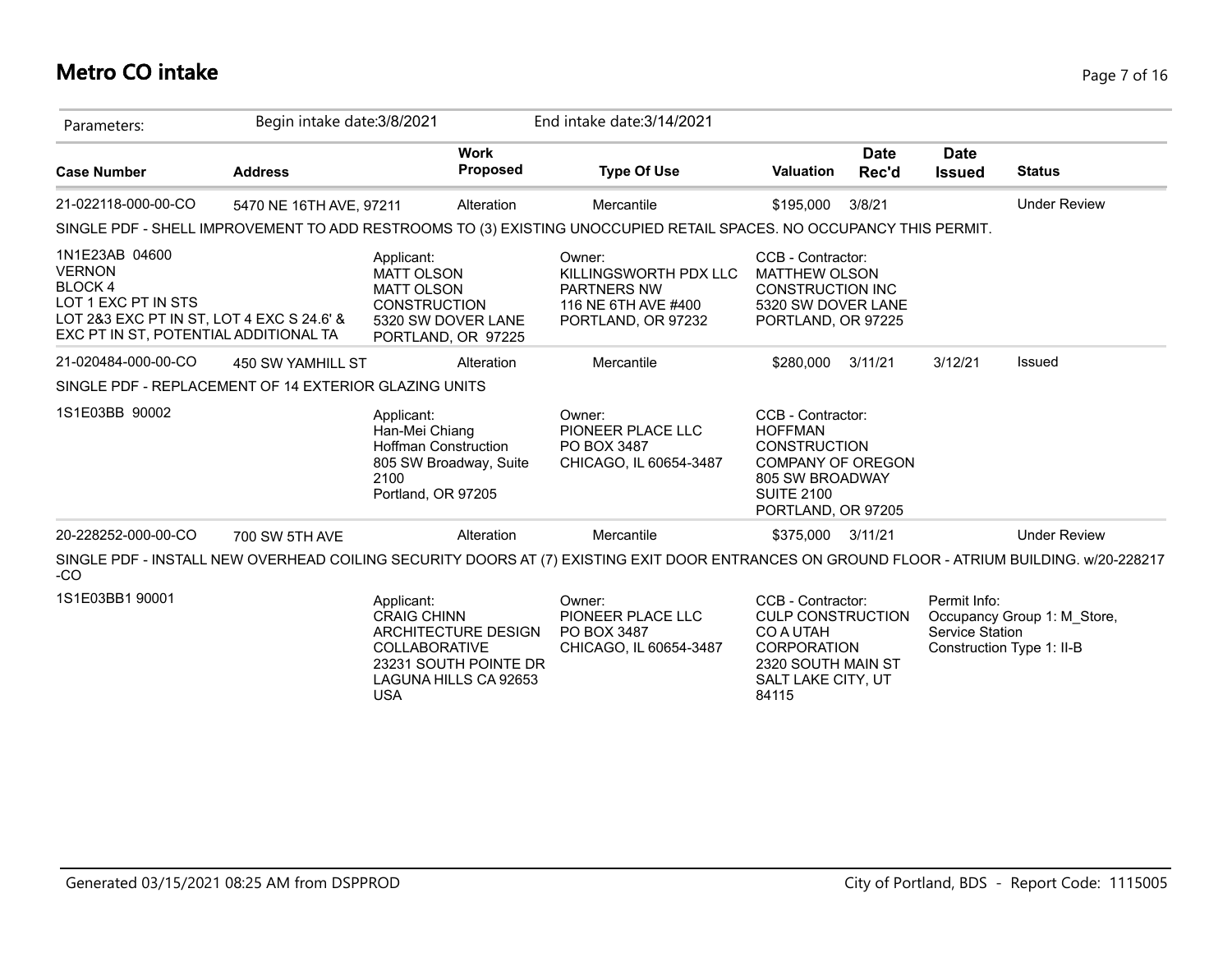# **Metro CO intake** Page 7 of 16

| Parameters:                                                                                                                                                   | Begin intake date: 3/8/2021 |                                                                                                                                                 | End intake date: 3/14/2021                                                                                                                  |                                                                                                                                                      |                      |                                 |                                                          |
|---------------------------------------------------------------------------------------------------------------------------------------------------------------|-----------------------------|-------------------------------------------------------------------------------------------------------------------------------------------------|---------------------------------------------------------------------------------------------------------------------------------------------|------------------------------------------------------------------------------------------------------------------------------------------------------|----------------------|---------------------------------|----------------------------------------------------------|
| <b>Case Number</b>                                                                                                                                            | <b>Address</b>              | <b>Work</b><br><b>Proposed</b>                                                                                                                  | <b>Type Of Use</b>                                                                                                                          | <b>Valuation</b>                                                                                                                                     | <b>Date</b><br>Rec'd | <b>Date</b><br><b>Issued</b>    | <b>Status</b>                                            |
| 21-022118-000-00-CO                                                                                                                                           | 5470 NE 16TH AVE, 97211     | Alteration                                                                                                                                      | Mercantile                                                                                                                                  | \$195,000                                                                                                                                            | 3/8/21               |                                 | <b>Under Review</b>                                      |
|                                                                                                                                                               |                             |                                                                                                                                                 | SINGLE PDF - SHELL IMPROVEMENT TO ADD RESTROOMS TO (3) EXISTING UNOCCUPIED RETAIL SPACES. NO OCCUPANCY THIS PERMIT.                         |                                                                                                                                                      |                      |                                 |                                                          |
| 1N1E23AB 04600<br><b>VERNON</b><br><b>BLOCK4</b><br>LOT 1 EXC PT IN STS<br>LOT 2&3 EXC PT IN ST, LOT 4 EXC S 24.6' &<br>EXC PT IN ST, POTENTIAL ADDITIONAL TA |                             | Applicant:<br><b>MATT OLSON</b><br><b>MATT OLSON</b><br><b>CONSTRUCTION</b><br>5320 SW DOVER LANE<br>PORTLAND, OR 97225                         | Owner:<br>KILLINGSWORTH PDX LLC<br><b>PARTNERS NW</b><br>116 NE 6TH AVE #400<br>PORTLAND, OR 97232                                          | CCB - Contractor:<br><b>MATTHEW OLSON</b><br><b>CONSTRUCTION INC</b><br>5320 SW DOVER LANE<br>PORTLAND, OR 97225                                     |                      |                                 |                                                          |
| 21-020484-000-00-CO                                                                                                                                           | 450 SW YAMHILL ST           | Alteration                                                                                                                                      | Mercantile                                                                                                                                  | \$280,000                                                                                                                                            | 3/11/21              | 3/12/21                         | <b>Issued</b>                                            |
| SINGLE PDF - REPLACEMENT OF 14 EXTERIOR GLAZING UNITS                                                                                                         |                             |                                                                                                                                                 |                                                                                                                                             |                                                                                                                                                      |                      |                                 |                                                          |
| 1S1E03BB 90002                                                                                                                                                |                             | Applicant:<br>Han-Mei Chiang<br><b>Hoffman Construction</b><br>805 SW Broadway, Suite<br>2100<br>Portland, OR 97205                             | Owner:<br>PIONEER PLACE LLC<br>PO BOX 3487<br>CHICAGO, IL 60654-3487                                                                        | CCB - Contractor:<br><b>HOFFMAN</b><br><b>CONSTRUCTION</b><br><b>COMPANY OF OREGON</b><br>805 SW BROADWAY<br><b>SUITE 2100</b><br>PORTLAND, OR 97205 |                      |                                 |                                                          |
| 20-228252-000-00-CO                                                                                                                                           | 700 SW 5TH AVE              | Alteration                                                                                                                                      | Mercantile                                                                                                                                  | \$375,000                                                                                                                                            | 3/11/21              |                                 | <b>Under Review</b>                                      |
| $-CO$                                                                                                                                                         |                             |                                                                                                                                                 | SINGLE PDF - INSTALL NEW OVERHEAD COILING SECURITY DOORS AT (7) EXISTING EXIT DOOR ENTRANCES ON GROUND FLOOR - ATRIUM BUILDING. w/20-228217 |                                                                                                                                                      |                      |                                 |                                                          |
| 1S1E03BB1 90001                                                                                                                                               |                             | Applicant:<br><b>CRAIG CHINN</b><br>ARCHITECTURE DESIGN<br><b>COLLABORATIVE</b><br>23231 SOUTH POINTE DR<br>LAGUNA HILLS CA 92653<br><b>USA</b> | Owner:<br>PIONEER PLACE LLC<br>PO BOX 3487<br>CHICAGO, IL 60654-3487                                                                        | CCB - Contractor:<br><b>CULP CONSTRUCTION</b><br>CO A UTAH<br><b>CORPORATION</b><br>2320 SOUTH MAIN ST<br>SALT LAKE CITY, UT<br>84115                |                      | Permit Info:<br>Service Station | Occupancy Group 1: M Store,<br>Construction Type 1: II-B |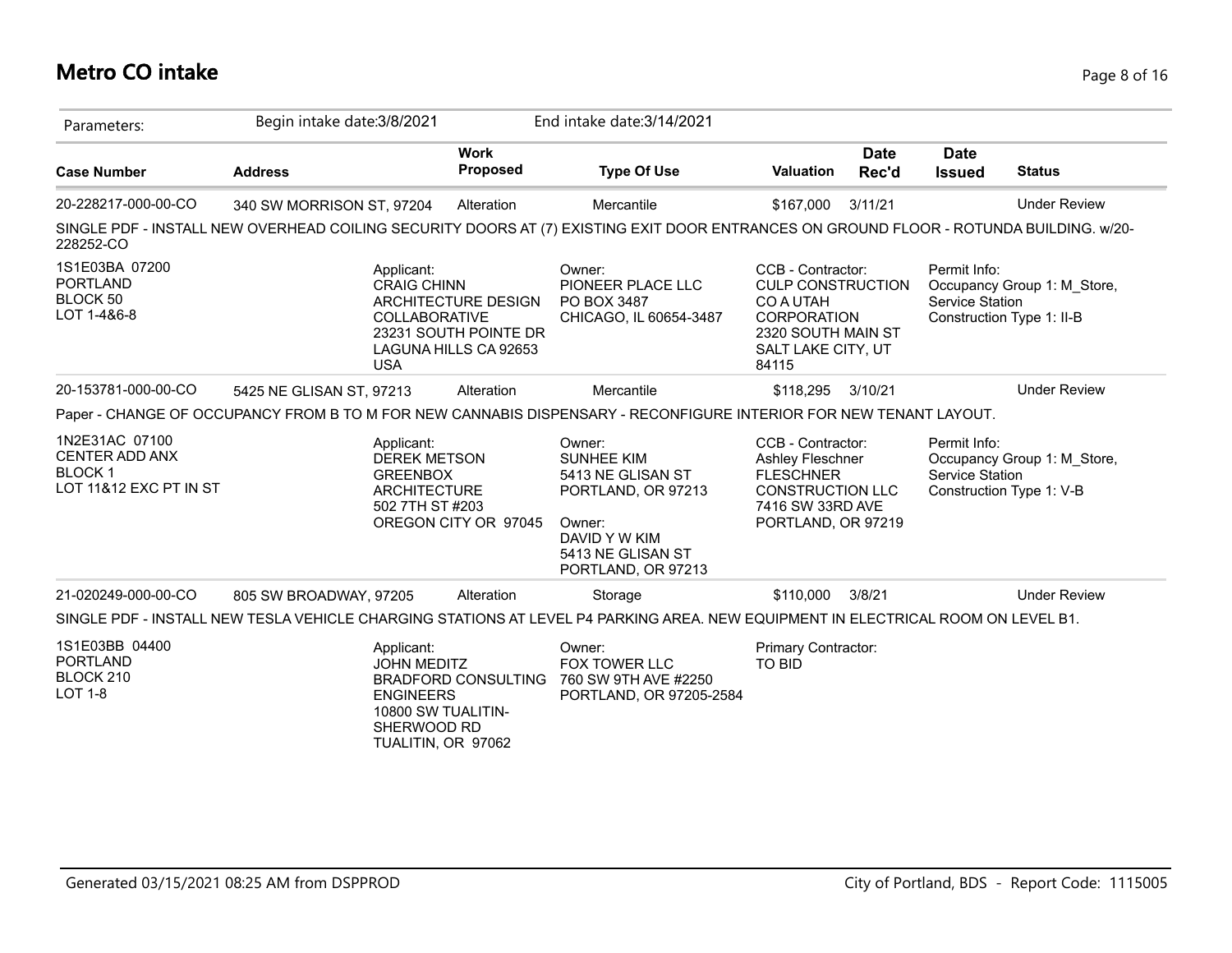# **Metro CO intake** Page 8 of 16

| Parameters:                                                                        | Begin intake date: 3/8/2021 |                                                                                                                                               | End intake date: 3/14/2021                                                                                                                   |                                                                                                                                       |                      |                                 |                                                          |
|------------------------------------------------------------------------------------|-----------------------------|-----------------------------------------------------------------------------------------------------------------------------------------------|----------------------------------------------------------------------------------------------------------------------------------------------|---------------------------------------------------------------------------------------------------------------------------------------|----------------------|---------------------------------|----------------------------------------------------------|
| <b>Case Number</b>                                                                 | <b>Address</b>              | <b>Work</b><br><b>Proposed</b>                                                                                                                | <b>Type Of Use</b>                                                                                                                           | <b>Valuation</b>                                                                                                                      | <b>Date</b><br>Rec'd | <b>Date</b><br><b>Issued</b>    | <b>Status</b>                                            |
| 20-228217-000-00-CO                                                                | 340 SW MORRISON ST, 97204   | Alteration                                                                                                                                    | Mercantile                                                                                                                                   | \$167,000                                                                                                                             | 3/11/21              |                                 | <b>Under Review</b>                                      |
| 228252-CO                                                                          |                             |                                                                                                                                               | SINGLE PDF - INSTALL NEW OVERHEAD COILING SECURITY DOORS AT (7) EXISTING EXIT DOOR ENTRANCES ON GROUND FLOOR - ROTUNDA BUILDING. w/20-       |                                                                                                                                       |                      |                                 |                                                          |
| 1S1E03BA 07200<br><b>PORTLAND</b><br>BLOCK 50<br>LOT 1-4&6-8                       | <b>USA</b>                  | Applicant:<br><b>CRAIG CHINN</b><br>ARCHITECTURE DESIGN<br><b>COLLABORATIVE</b><br>23231 SOUTH POINTE DR<br>LAGUNA HILLS CA 92653             | Owner:<br>PIONEER PLACE LLC<br>PO BOX 3487<br>CHICAGO, IL 60654-3487                                                                         | CCB - Contractor:<br><b>CULP CONSTRUCTION</b><br>CO A UTAH<br><b>CORPORATION</b><br>2320 SOUTH MAIN ST<br>SALT LAKE CITY, UT<br>84115 |                      | Permit Info:<br>Service Station | Occupancy Group 1: M Store,<br>Construction Type 1: II-B |
| 20-153781-000-00-CO                                                                | 5425 NE GLISAN ST, 97213    | Alteration                                                                                                                                    | Mercantile                                                                                                                                   | \$118,295                                                                                                                             | 3/10/21              |                                 | <b>Under Review</b>                                      |
|                                                                                    |                             |                                                                                                                                               | Paper - CHANGE OF OCCUPANCY FROM B TO M FOR NEW CANNABIS DISPENSARY - RECONFIGURE INTERIOR FOR NEW TENANT LAYOUT.                            |                                                                                                                                       |                      |                                 |                                                          |
| 1N2E31AC 07100<br><b>CENTER ADD ANX</b><br><b>BLOCK1</b><br>LOT 11&12 EXC PT IN ST |                             | Applicant:<br><b>DEREK METSON</b><br><b>GREENBOX</b><br><b>ARCHITECTURE</b><br>502 7TH ST #203<br>OREGON CITY OR 97045                        | Owner:<br><b>SUNHEE KIM</b><br>5413 NE GLISAN ST<br>PORTLAND, OR 97213<br>Owner:<br>DAVID Y W KIM<br>5413 NE GLISAN ST<br>PORTLAND, OR 97213 | CCB - Contractor:<br>Ashley Fleschner<br><b>FLESCHNER</b><br>CONSTRUCTION LLC<br>7416 SW 33RD AVE<br>PORTLAND, OR 97219               |                      | Permit Info:<br>Service Station | Occupancy Group 1: M_Store,<br>Construction Type 1: V-B  |
| 21-020249-000-00-CO                                                                | 805 SW BROADWAY, 97205      | Alteration                                                                                                                                    | Storage                                                                                                                                      | \$110,000                                                                                                                             | 3/8/21               |                                 | <b>Under Review</b>                                      |
|                                                                                    |                             |                                                                                                                                               | SINGLE PDF - INSTALL NEW TESLA VEHICLE CHARGING STATIONS AT LEVEL P4 PARKING AREA. NEW EQUIPMENT IN ELECTRICAL ROOM ON LEVEL B1.             |                                                                                                                                       |                      |                                 |                                                          |
| 1S1E03BB 04400<br><b>PORTLAND</b><br>BLOCK 210<br><b>LOT 1-8</b>                   |                             | Applicant:<br><b>JOHN MEDITZ</b><br><b>BRADFORD CONSULTING</b><br><b>ENGINEERS</b><br>10800 SW TUALITIN-<br>SHERWOOD RD<br>TUALITIN, OR 97062 | Owner:<br>FOX TOWER LLC<br>760 SW 9TH AVE #2250<br>PORTLAND, OR 97205-2584                                                                   | Primary Contractor:<br>TO BID                                                                                                         |                      |                                 |                                                          |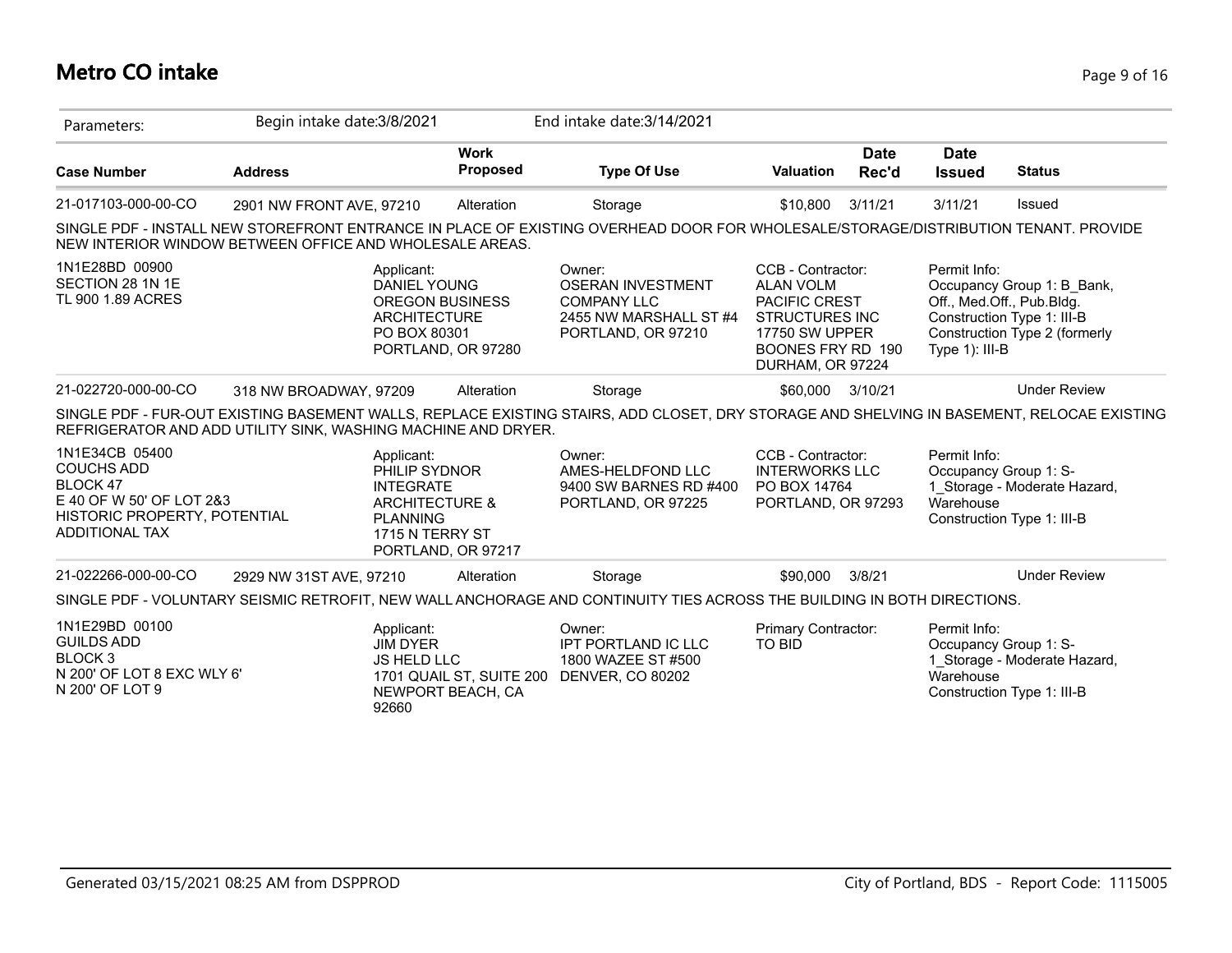# **Metro CO intake** Page 9 of 16

| Parameters:                                                                                                                          | Begin intake date: 3/8/2021 |                                                                                                                                          |                                | End intake date: 3/14/2021                                                                                                                |                                                                                                                                                   |                      |                                                    |                                                                                                                        |
|--------------------------------------------------------------------------------------------------------------------------------------|-----------------------------|------------------------------------------------------------------------------------------------------------------------------------------|--------------------------------|-------------------------------------------------------------------------------------------------------------------------------------------|---------------------------------------------------------------------------------------------------------------------------------------------------|----------------------|----------------------------------------------------|------------------------------------------------------------------------------------------------------------------------|
| <b>Case Number</b>                                                                                                                   | <b>Address</b>              |                                                                                                                                          | <b>Work</b><br><b>Proposed</b> | <b>Type Of Use</b>                                                                                                                        | <b>Valuation</b>                                                                                                                                  | <b>Date</b><br>Rec'd | <b>Date</b><br><b>Issued</b>                       | <b>Status</b>                                                                                                          |
| 21-017103-000-00-CO                                                                                                                  | 2901 NW FRONT AVE, 97210    |                                                                                                                                          | Alteration                     | Storage                                                                                                                                   | \$10.800                                                                                                                                          | 3/11/21              | 3/11/21                                            | Issued                                                                                                                 |
| NEW INTERIOR WINDOW BETWEEN OFFICE AND WHOLESALE AREAS.                                                                              |                             |                                                                                                                                          |                                | SINGLE PDF - INSTALL NEW STOREFRONT ENTRANCE IN PLACE OF EXISTING OVERHEAD DOOR FOR WHOLESALE/STORAGE/DISTRIBUTION TENANT. PROVIDE        |                                                                                                                                                   |                      |                                                    |                                                                                                                        |
| 1N1E28BD 00900<br>SECTION 28 1N 1E<br>TL 900 1.89 ACRES                                                                              |                             | Applicant:<br><b>DANIEL YOUNG</b><br><b>OREGON BUSINESS</b><br><b>ARCHITECTURE</b><br>PO BOX 80301<br>PORTLAND, OR 97280                 |                                | Owner:<br><b>OSERAN INVESTMENT</b><br><b>COMPANY LLC</b><br>2455 NW MARSHALL ST #4<br>PORTLAND, OR 97210                                  | CCB - Contractor:<br><b>ALAN VOLM</b><br>PACIFIC CREST<br><b>STRUCTURES INC</b><br><b>17750 SW UPPER</b><br>BOONES FRY RD 190<br>DURHAM, OR 97224 |                      | Permit Info:<br>Type $1$ ): III-B                  | Occupancy Group 1: B_Bank,<br>Off., Med.Off., Pub.Bldg.<br>Construction Type 1: III-B<br>Construction Type 2 (formerly |
| 21-022720-000-00-CO                                                                                                                  | 318 NW BROADWAY, 97209      |                                                                                                                                          | Alteration                     | Storage                                                                                                                                   | \$60,000 3/10/21                                                                                                                                  |                      |                                                    | <b>Under Review</b>                                                                                                    |
| REFRIGERATOR AND ADD UTILITY SINK, WASHING MACHINE AND DRYER.                                                                        |                             |                                                                                                                                          |                                | SINGLE PDF - FUR-OUT EXISTING BASEMENT WALLS, REPLACE EXISTING STAIRS, ADD CLOSET, DRY STORAGE AND SHELVING IN BASEMENT, RELOCAE EXISTING |                                                                                                                                                   |                      |                                                    |                                                                                                                        |
| 1N1E34CB 05400<br><b>COUCHS ADD</b><br>BLOCK 47<br>E 40 OF W 50' OF LOT 2&3<br>HISTORIC PROPERTY, POTENTIAL<br><b>ADDITIONAL TAX</b> |                             | Applicant:<br>PHILIP SYDNOR<br><b>INTEGRATE</b><br><b>ARCHITECTURE &amp;</b><br><b>PLANNING</b><br>1715 N TERRY ST<br>PORTLAND, OR 97217 |                                | Owner:<br>AMES-HELDFOND LLC<br>9400 SW BARNES RD #400<br>PORTLAND, OR 97225                                                               | CCB - Contractor:<br><b>INTERWORKS LLC</b><br>PO BOX 14764<br>PORTLAND, OR 97293                                                                  |                      | Permit Info:<br>Occupancy Group 1: S-<br>Warehouse | 1_Storage - Moderate Hazard,<br>Construction Type 1: III-B                                                             |
| 21-022266-000-00-CO                                                                                                                  | 2929 NW 31ST AVE, 97210     |                                                                                                                                          | Alteration                     | Storage                                                                                                                                   | \$90,000                                                                                                                                          | 3/8/21               |                                                    | <b>Under Review</b>                                                                                                    |
|                                                                                                                                      |                             |                                                                                                                                          |                                | SINGLE PDF - VOLUNTARY SEISMIC RETROFIT, NEW WALL ANCHORAGE AND CONTINUITY TIES ACROSS THE BUILDING IN BOTH DIRECTIONS.                   |                                                                                                                                                   |                      |                                                    |                                                                                                                        |
| 1N1E29BD 00100<br><b>GUILDS ADD</b><br><b>BLOCK3</b><br>N 200' OF LOT 8 EXC WLY 6'<br>N 200' OF LOT 9                                |                             | Applicant:<br><b>JIM DYER</b><br><b>JS HELD LLC</b><br>NEWPORT BEACH, CA<br>92660                                                        | 1701 QUAIL ST, SUITE 200       | Owner:<br>IPT PORTLAND IC LLC<br>1800 WAZEE ST #500<br><b>DENVER, CO 80202</b>                                                            | Primary Contractor:<br>TO BID                                                                                                                     |                      | Permit Info:<br>Occupancy Group 1: S-<br>Warehouse | 1 Storage - Moderate Hazard,<br>Construction Type 1: III-B                                                             |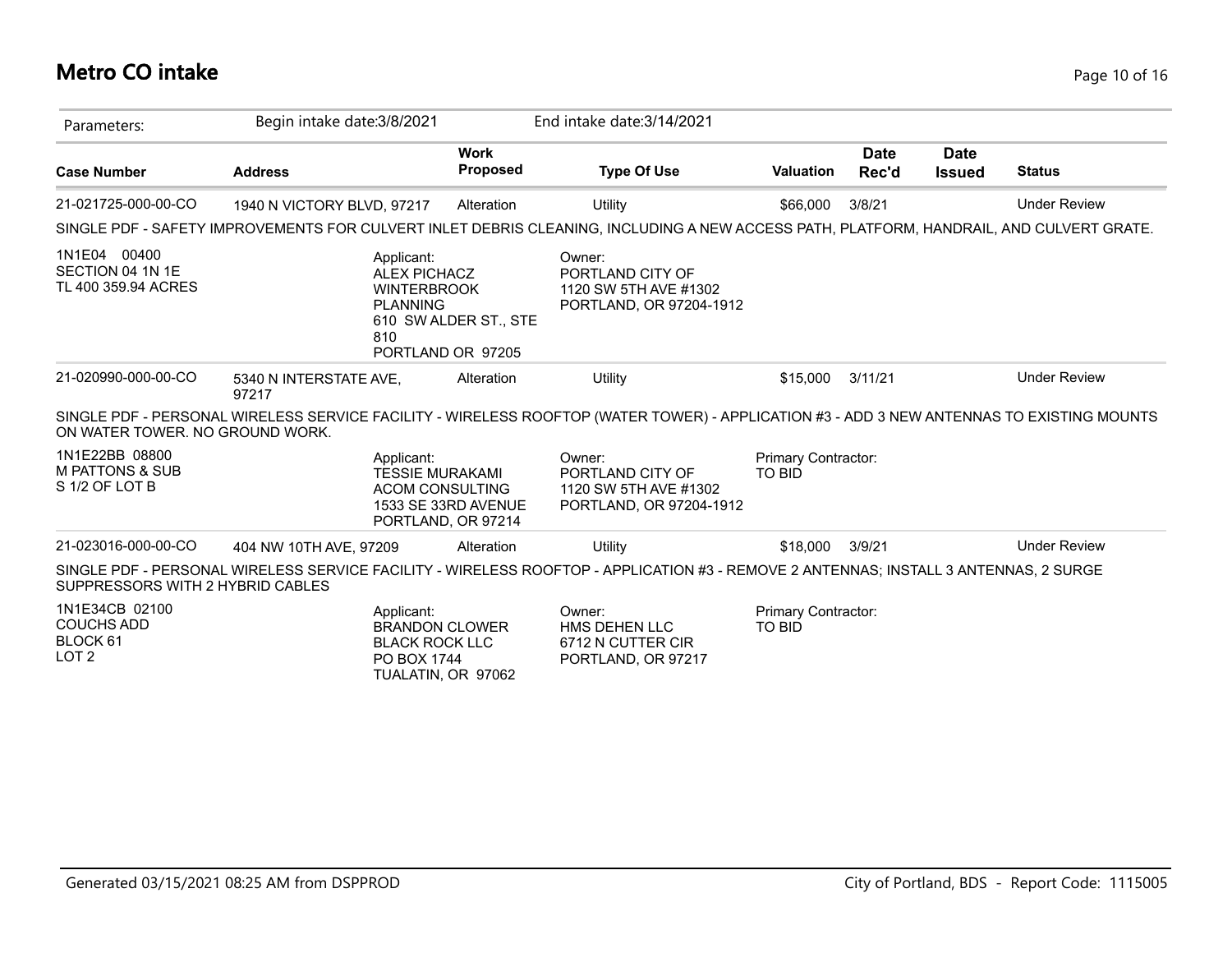#### **Metro CO intake** Page 10 of 16

| Parameters:                                                         | Begin intake date: 3/8/2021                                                                                                               |                                            | End intake date: 3/14/2021                                                     |                                      |                      |                              |                     |
|---------------------------------------------------------------------|-------------------------------------------------------------------------------------------------------------------------------------------|--------------------------------------------|--------------------------------------------------------------------------------|--------------------------------------|----------------------|------------------------------|---------------------|
| <b>Case Number</b>                                                  | <b>Address</b>                                                                                                                            | <b>Work</b><br><b>Proposed</b>             | <b>Type Of Use</b>                                                             | <b>Valuation</b>                     | <b>Date</b><br>Rec'd | <b>Date</b><br><b>Issued</b> | <b>Status</b>       |
| 21-021725-000-00-CO                                                 | 1940 N VICTORY BLVD, 97217                                                                                                                | Alteration                                 | Utility                                                                        | \$66,000                             | 3/8/21               |                              | <b>Under Review</b> |
|                                                                     | SINGLE PDF - SAFETY IMPROVEMENTS FOR CULVERT INLET DEBRIS CLEANING, INCLUDING A NEW ACCESS PATH, PLATFORM, HANDRAIL, AND CULVERT GRATE.   |                                            |                                                                                |                                      |                      |                              |                     |
| 1N1E04 00400<br>SECTION 04 1N 1E<br>TL 400 359.94 ACRES             | Applicant:<br><b>ALEX PICHACZ</b><br><b>WINTERBROOK</b><br><b>PLANNING</b><br>810                                                         | 610 SW ALDER ST., STE<br>PORTLAND OR 97205 | Owner:<br>PORTLAND CITY OF<br>1120 SW 5TH AVE #1302<br>PORTLAND, OR 97204-1912 |                                      |                      |                              |                     |
| 21-020990-000-00-CO                                                 | 5340 N INTERSTATE AVE,<br>97217                                                                                                           | Alteration                                 | Utility                                                                        | \$15,000                             | 3/11/21              |                              | <b>Under Review</b> |
| ON WATER TOWER. NO GROUND WORK.                                     | SINGLE PDF - PERSONAL WIRELESS SERVICE FACILITY - WIRELESS ROOFTOP (WATER TOWER) - APPLICATION #3 - ADD 3 NEW ANTENNAS TO EXISTING MOUNTS |                                            |                                                                                |                                      |                      |                              |                     |
| 1N1E22BB 08800<br><b>M PATTONS &amp; SUB</b><br>S 1/2 OF LOT B      | Applicant:<br><b>TESSIE MURAKAMI</b><br><b>ACOM CONSULTING</b>                                                                            | 1533 SE 33RD AVENUE<br>PORTLAND, OR 97214  | Owner:<br>PORTLAND CITY OF<br>1120 SW 5TH AVE #1302<br>PORTLAND, OR 97204-1912 | Primary Contractor:<br><b>TO BID</b> |                      |                              |                     |
| 21-023016-000-00-CO                                                 | 404 NW 10TH AVE, 97209                                                                                                                    | Alteration                                 | Utility                                                                        | \$18,000                             | 3/9/21               |                              | <b>Under Review</b> |
| SUPPRESSORS WITH 2 HYBRID CABLES                                    | SINGLE PDF - PERSONAL WIRELESS SERVICE FACILITY - WIRELESS ROOFTOP - APPLICATION #3 - REMOVE 2 ANTENNAS; INSTALL 3 ANTENNAS, 2 SURGE      |                                            |                                                                                |                                      |                      |                              |                     |
| 1N1E34CB 02100<br><b>COUCHS ADD</b><br>BLOCK 61<br>LOT <sub>2</sub> | Applicant:<br><b>BRANDON CLOWER</b><br><b>BLACK ROCK LLC</b><br>PO BOX 1744<br>TUALATIN, OR 97062                                         |                                            | Owner:<br>HMS DEHEN LLC<br>6712 N CUTTER CIR<br>PORTLAND, OR 97217             | Primary Contractor:<br><b>TO BID</b> |                      |                              |                     |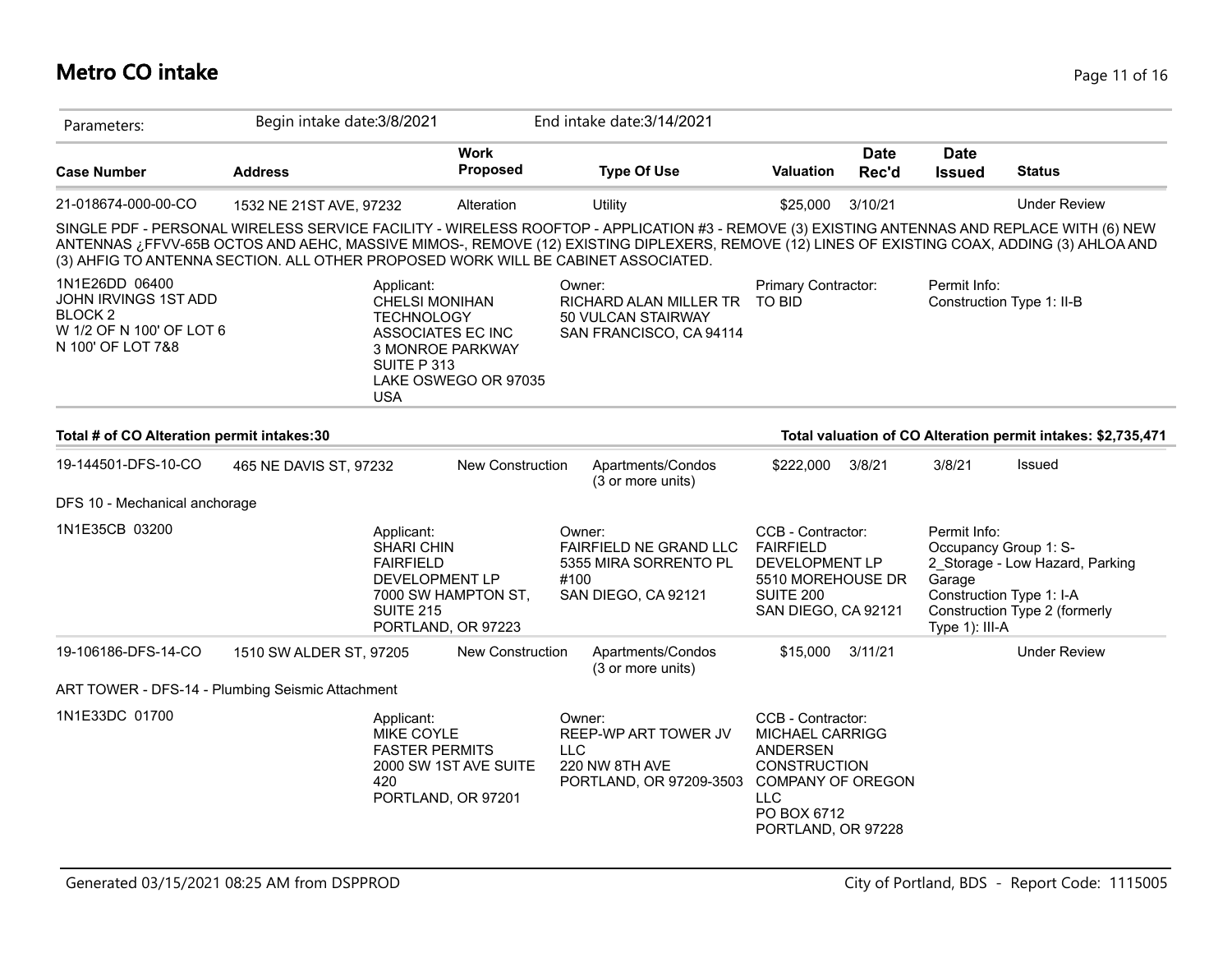#### **Metro CO intake** Page 11 of 16

| Parameters:                                                                                                   | Begin intake date: 3/8/2021                                                       |                                                                                        | End intake date: 3/14/2021                                                                                                                                                                                                                                                                 |                                                                                                                                                               |                      |                                          |                                                                                                                       |
|---------------------------------------------------------------------------------------------------------------|-----------------------------------------------------------------------------------|----------------------------------------------------------------------------------------|--------------------------------------------------------------------------------------------------------------------------------------------------------------------------------------------------------------------------------------------------------------------------------------------|---------------------------------------------------------------------------------------------------------------------------------------------------------------|----------------------|------------------------------------------|-----------------------------------------------------------------------------------------------------------------------|
| <b>Case Number</b>                                                                                            | <b>Address</b>                                                                    | <b>Work</b><br><b>Proposed</b>                                                         | <b>Type Of Use</b>                                                                                                                                                                                                                                                                         | <b>Valuation</b>                                                                                                                                              | <b>Date</b><br>Rec'd | <b>Date</b><br><b>Issued</b>             | <b>Status</b>                                                                                                         |
| 21-018674-000-00-CO                                                                                           | 1532 NE 21ST AVE, 97232                                                           | Alteration                                                                             | Utility                                                                                                                                                                                                                                                                                    | \$25,000                                                                                                                                                      | 3/10/21              |                                          | <b>Under Review</b>                                                                                                   |
|                                                                                                               | (3) AHFIG TO ANTENNA SECTION. ALL OTHER PROPOSED WORK WILL BE CABINET ASSOCIATED. |                                                                                        | SINGLE PDF - PERSONAL WIRELESS SERVICE FACILITY - WIRELESS ROOFTOP - APPLICATION #3 - REMOVE (3) EXISTING ANTENNAS AND REPLACE WITH (6) NEW<br>ANTENNAS ¿FFVV-65B OCTOS AND AEHC, MASSIVE MIMOS-, REMOVE (12) EXISTING DIPLEXERS, REMOVE (12) LINES OF EXISTING COAX, ADDING (3) AHLOA AND |                                                                                                                                                               |                      |                                          |                                                                                                                       |
| 1N1E26DD 06400<br>JOHN IRVINGS 1ST ADD<br>BLOCK <sub>2</sub><br>W 1/2 OF N 100' OF LOT 6<br>N 100' OF LOT 7&8 | Applicant:<br><b>TECHNOLOGY</b><br>SUITE P 313<br><b>USA</b>                      | <b>CHELSI MONIHAN</b><br>ASSOCIATES EC INC<br>3 MONROE PARKWAY<br>LAKE OSWEGO OR 97035 | Owner:<br>RICHARD ALAN MILLER TR<br>50 VULCAN STAIRWAY<br>SAN FRANCISCO, CA 94114                                                                                                                                                                                                          | Primary Contractor:<br>TO BID                                                                                                                                 |                      | Permit Info:                             | Construction Type 1: II-B                                                                                             |
| Total # of CO Alteration permit intakes:30                                                                    |                                                                                   |                                                                                        |                                                                                                                                                                                                                                                                                            |                                                                                                                                                               |                      |                                          | Total valuation of CO Alteration permit intakes: \$2,735,471                                                          |
| 19-144501-DFS-10-CO                                                                                           | 465 NE DAVIS ST, 97232                                                            | <b>New Construction</b>                                                                | Apartments/Condos<br>(3 or more units)                                                                                                                                                                                                                                                     | \$222,000                                                                                                                                                     | 3/8/21               | 3/8/21                                   | Issued                                                                                                                |
| DFS 10 - Mechanical anchorage                                                                                 |                                                                                   |                                                                                        |                                                                                                                                                                                                                                                                                            |                                                                                                                                                               |                      |                                          |                                                                                                                       |
| 1N1E35CB 03200                                                                                                | Applicant:<br>SHARI CHIN<br><b>FAIRFIELD</b><br><b>SUITE 215</b>                  | DEVELOPMENT LP<br>7000 SW HAMPTON ST,<br>PORTLAND, OR 97223                            | Owner:<br>FAIRFIELD NE GRAND LLC<br>5355 MIRA SORRENTO PL<br>#100<br>SAN DIEGO, CA 92121                                                                                                                                                                                                   | CCB - Contractor:<br><b>FAIRFIELD</b><br>DEVELOPMENT LP<br>5510 MOREHOUSE DR<br><b>SUITE 200</b><br>SAN DIEGO, CA 92121                                       |                      | Permit Info:<br>Garage<br>Type 1): III-A | Occupancy Group 1: S-<br>2 Storage - Low Hazard, Parking<br>Construction Type 1: I-A<br>Construction Type 2 (formerly |
| 19-106186-DFS-14-CO                                                                                           | 1510 SW ALDER ST, 97205                                                           | New Construction                                                                       | Apartments/Condos<br>(3 or more units)                                                                                                                                                                                                                                                     | \$15,000                                                                                                                                                      | 3/11/21              |                                          | <b>Under Review</b>                                                                                                   |
|                                                                                                               | ART TOWER - DFS-14 - Plumbing Seismic Attachment                                  |                                                                                        |                                                                                                                                                                                                                                                                                            |                                                                                                                                                               |                      |                                          |                                                                                                                       |
| 1N1E33DC 01700                                                                                                | Applicant:<br><b>MIKE COYLE</b><br>420                                            | <b>FASTER PERMITS</b><br>2000 SW 1ST AVE SUITE<br>PORTLAND, OR 97201                   | Owner:<br>REEP-WP ART TOWER JV<br><b>LLC</b><br>220 NW 8TH AVE<br>PORTLAND, OR 97209-3503                                                                                                                                                                                                  | CCB - Contractor:<br>MICHAEL CARRIGG<br><b>ANDERSEN</b><br><b>CONSTRUCTION</b><br><b>COMPANY OF OREGON</b><br><b>LLC</b><br>PO BOX 6712<br>PORTLAND, OR 97228 |                      |                                          |                                                                                                                       |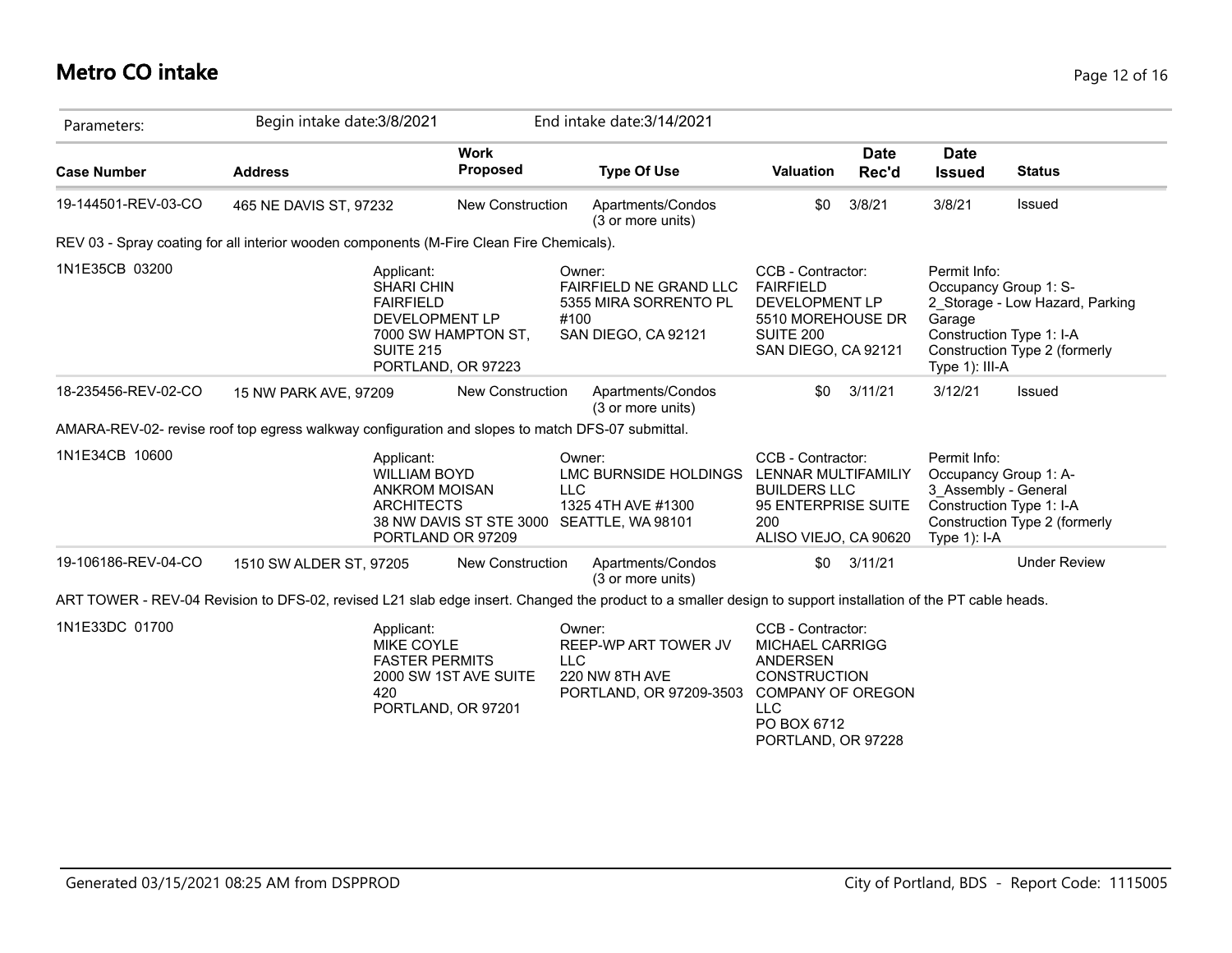#### **Metro CO intake** Page 12 of 16

| Parameters:         | Begin intake date: 3/8/2021                                                                                                                                 |                                                             | End intake date: 3/14/2021                                                                      |                                                                                                                                                                      |                      |                                                                                                             |                                                                  |
|---------------------|-------------------------------------------------------------------------------------------------------------------------------------------------------------|-------------------------------------------------------------|-------------------------------------------------------------------------------------------------|----------------------------------------------------------------------------------------------------------------------------------------------------------------------|----------------------|-------------------------------------------------------------------------------------------------------------|------------------------------------------------------------------|
| <b>Case Number</b>  | <b>Address</b>                                                                                                                                              | <b>Work</b><br>Proposed                                     | <b>Type Of Use</b>                                                                              | <b>Valuation</b>                                                                                                                                                     | <b>Date</b><br>Rec'd | <b>Date</b><br><b>Issued</b>                                                                                | <b>Status</b>                                                    |
| 19-144501-REV-03-CO | 465 NE DAVIS ST, 97232                                                                                                                                      | <b>New Construction</b>                                     | Apartments/Condos<br>(3 or more units)                                                          | \$0                                                                                                                                                                  | 3/8/21               | 3/8/21                                                                                                      | Issued                                                           |
|                     | REV 03 - Spray coating for all interior wooden components (M-Fire Clean Fire Chemicals).                                                                    |                                                             |                                                                                                 |                                                                                                                                                                      |                      |                                                                                                             |                                                                  |
| 1N1E35CB 03200      | Applicant:<br><b>SHARI CHIN</b><br><b>FAIRFIELD</b><br><b>SUITE 215</b>                                                                                     | DEVELOPMENT LP<br>7000 SW HAMPTON ST,<br>PORTLAND, OR 97223 | Owner:<br><b>FAIRFIELD NE GRAND LLC</b><br>5355 MIRA SORRENTO PL<br>#100<br>SAN DIEGO, CA 92121 | CCB - Contractor:<br><b>FAIRFIELD</b><br>DEVELOPMENT LP<br>5510 MOREHOUSE DR<br>SUITE 200<br>SAN DIEGO, CA 92121                                                     |                      | Permit Info:<br>Occupancy Group 1: S-<br>Garage<br>Construction Type 1: I-A<br>Type 1): III-A               | 2 Storage - Low Hazard, Parking<br>Construction Type 2 (formerly |
| 18-235456-REV-02-CO | 15 NW PARK AVE, 97209                                                                                                                                       | <b>New Construction</b>                                     | Apartments/Condos<br>(3 or more units)                                                          | \$0                                                                                                                                                                  | 3/11/21              | 3/12/21                                                                                                     | <b>Issued</b>                                                    |
|                     | AMARA-REV-02- revise roof top egress walkway configuration and slopes to match DFS-07 submittal.                                                            |                                                             |                                                                                                 |                                                                                                                                                                      |                      |                                                                                                             |                                                                  |
| 1N1E34CB 10600      | Applicant:<br><b>WILLIAM BOYD</b><br><b>ANKROM MOISAN</b><br><b>ARCHITECTS</b>                                                                              | 38 NW DAVIS ST STE 3000<br>PORTLAND OR 97209                | Owner:<br>LMC BURNSIDE HOLDINGS<br><b>LLC</b><br>1325 4TH AVE #1300<br>SEATTLE, WA 98101        | CCB - Contractor:<br>LENNAR MULTIFAMILIY<br><b>BUILDERS LLC</b><br>95 ENTERPRISE SUITE<br>200<br>ALISO VIEJO, CA 90620                                               |                      | Permit Info:<br>Occupancy Group 1: A-<br>3_Assembly - General<br>Construction Type 1: I-A<br>Type $1$ : I-A | Construction Type 2 (formerly                                    |
| 19-106186-REV-04-CO | 1510 SW ALDER ST, 97205                                                                                                                                     | <b>New Construction</b>                                     | Apartments/Condos<br>(3 or more units)                                                          |                                                                                                                                                                      | $$0$ $3/11/21$       |                                                                                                             | <b>Under Review</b>                                              |
|                     | ART TOWER - REV-04 Revision to DFS-02, revised L21 slab edge insert. Changed the product to a smaller design to support installation of the PT cable heads. |                                                             |                                                                                                 |                                                                                                                                                                      |                      |                                                                                                             |                                                                  |
| 1N1E33DC 01700      | Applicant:<br><b>MIKE COYLE</b><br><b>FASTER PERMITS</b><br>420                                                                                             | 2000 SW 1ST AVE SUITE<br>PORTLAND, OR 97201                 | Owner:<br>REEP-WP ART TOWER JV<br><b>LLC</b><br>220 NW 8TH AVE<br>PORTLAND, OR 97209-3503       | CCB - Contractor:<br><b>MICHAEL CARRIGG</b><br><b>ANDERSEN</b><br><b>CONSTRUCTION</b><br><b>COMPANY OF OREGON</b><br><b>LLC</b><br>PO BOX 6712<br>PORTLAND, OR 97228 |                      |                                                                                                             |                                                                  |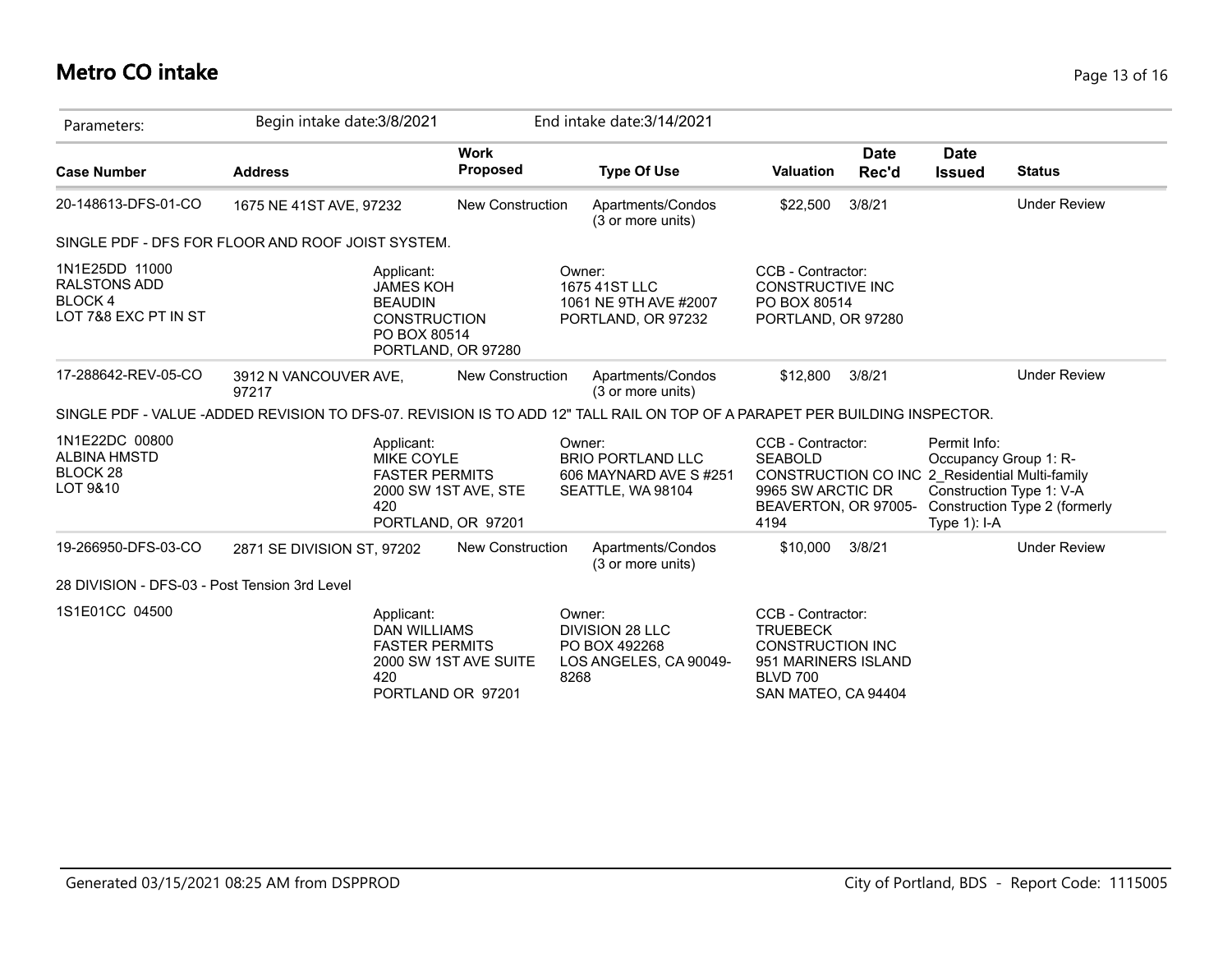# **Metro CO intake** Page 13 of 16

| Parameters:                                                                    | Begin intake date: 3/8/2021                                                                                                |                                            | End intake date: 3/14/2021                                                          |                                                                                                                                            |                      |                                 |                                                                                    |
|--------------------------------------------------------------------------------|----------------------------------------------------------------------------------------------------------------------------|--------------------------------------------|-------------------------------------------------------------------------------------|--------------------------------------------------------------------------------------------------------------------------------------------|----------------------|---------------------------------|------------------------------------------------------------------------------------|
| <b>Case Number</b>                                                             | <b>Address</b>                                                                                                             | <b>Work</b><br><b>Proposed</b>             | <b>Type Of Use</b>                                                                  | <b>Valuation</b>                                                                                                                           | <b>Date</b><br>Rec'd | <b>Date</b><br><b>Issued</b>    | <b>Status</b>                                                                      |
| 20-148613-DFS-01-CO                                                            | 1675 NE 41ST AVE, 97232                                                                                                    | New Construction                           | Apartments/Condos<br>(3 or more units)                                              | \$22,500                                                                                                                                   | 3/8/21               |                                 | <b>Under Review</b>                                                                |
|                                                                                | SINGLE PDF - DFS FOR FLOOR AND ROOF JOIST SYSTEM.                                                                          |                                            |                                                                                     |                                                                                                                                            |                      |                                 |                                                                                    |
| 1N1E25DD 11000<br><b>RALSTONS ADD</b><br><b>BLOCK4</b><br>LOT 7&8 EXC PT IN ST | Applicant:<br><b>JAMES KOH</b><br><b>BEAUDIN</b><br><b>CONSTRUCTION</b><br>PO BOX 80514                                    | PORTLAND, OR 97280                         | Owner:<br>1675 41ST LLC<br>1061 NE 9TH AVE #2007<br>PORTLAND, OR 97232              | CCB - Contractor:<br><b>CONSTRUCTIVE INC</b><br>PO BOX 80514<br>PORTLAND, OR 97280                                                         |                      |                                 |                                                                                    |
| 17-288642-REV-05-CO                                                            | 3912 N VANCOUVER AVE,<br>97217                                                                                             | <b>New Construction</b>                    | Apartments/Condos<br>(3 or more units)                                              | \$12,800                                                                                                                                   | 3/8/21               |                                 | <b>Under Review</b>                                                                |
|                                                                                | SINGLE PDF - VALUE -ADDED REVISION TO DFS-07. REVISION IS TO ADD 12" TALL RAIL ON TOP OF A PARAPET PER BUILDING INSPECTOR. |                                            |                                                                                     |                                                                                                                                            |                      |                                 |                                                                                    |
| 1N1E22DC 00800<br><b>ALBINA HMSTD</b><br>BLOCK <sub>28</sub><br>LOT 9&10       | Applicant:<br>MIKE COYLE<br><b>FASTER PERMITS</b><br>420                                                                   | 2000 SW 1ST AVE, STE<br>PORTLAND, OR 97201 | Owner:<br><b>BRIO PORTLAND LLC</b><br>606 MAYNARD AVE S#251<br>SEATTLE, WA 98104    | CCB - Contractor:<br><b>SEABOLD</b><br>CONSTRUCTION CO INC 2 Residential Multi-family<br>9965 SW ARCTIC DR<br>BEAVERTON, OR 97005-<br>4194 |                      | Permit Info:<br>Type $1$ ): I-A | Occupancy Group 1: R-<br>Construction Type 1: V-A<br>Construction Type 2 (formerly |
| 19-266950-DFS-03-CO                                                            | 2871 SE DIVISION ST, 97202                                                                                                 | New Construction                           | Apartments/Condos<br>(3 or more units)                                              | \$10,000                                                                                                                                   | 3/8/21               |                                 | <b>Under Review</b>                                                                |
| 28 DIVISION - DFS-03 - Post Tension 3rd Level                                  |                                                                                                                            |                                            |                                                                                     |                                                                                                                                            |                      |                                 |                                                                                    |
| 1S1E01CC 04500                                                                 | Applicant:<br><b>DAN WILLIAMS</b><br><b>FASTER PERMITS</b><br>420                                                          | 2000 SW 1ST AVE SUITE<br>PORTLAND OR 97201 | Owner:<br><b>DIVISION 28 LLC</b><br>PO BOX 492268<br>LOS ANGELES, CA 90049-<br>8268 | CCB - Contractor:<br><b>TRUEBECK</b><br><b>CONSTRUCTION INC</b><br>951 MARINERS ISLAND<br><b>BLVD 700</b><br>SAN MATEO, CA 94404           |                      |                                 |                                                                                    |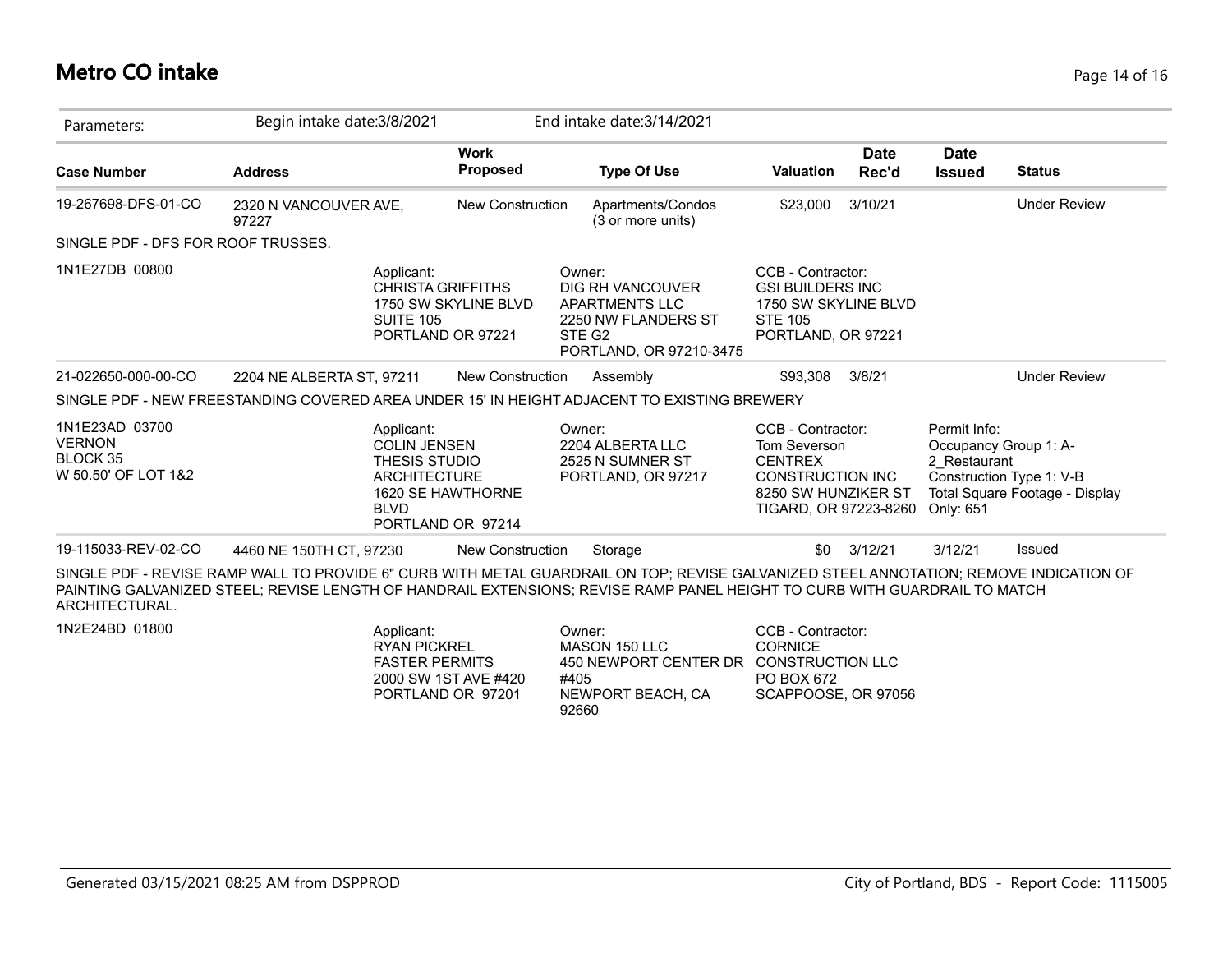#### **Metro CO intake** Page 14 of 16

| Parameters:                                                                                                                                                    | Begin intake date: 3/8/2021                                                                                                                                                                                                                                         |                                                                       | End intake date: 3/14/2021                                                                                           |                                                                                                              |                                                                                                                                |                              |                                                                                                                                  |  |
|----------------------------------------------------------------------------------------------------------------------------------------------------------------|---------------------------------------------------------------------------------------------------------------------------------------------------------------------------------------------------------------------------------------------------------------------|-----------------------------------------------------------------------|----------------------------------------------------------------------------------------------------------------------|--------------------------------------------------------------------------------------------------------------|--------------------------------------------------------------------------------------------------------------------------------|------------------------------|----------------------------------------------------------------------------------------------------------------------------------|--|
| <b>Case Number</b>                                                                                                                                             | <b>Address</b>                                                                                                                                                                                                                                                      | <b>Work</b><br><b>Proposed</b>                                        | <b>Type Of Use</b>                                                                                                   | <b>Valuation</b>                                                                                             | <b>Date</b><br>Rec'd                                                                                                           | <b>Date</b><br><b>Issued</b> | <b>Status</b>                                                                                                                    |  |
| 19-267698-DFS-01-CO                                                                                                                                            | 2320 N VANCOUVER AVE,<br>97227                                                                                                                                                                                                                                      | <b>New Construction</b>                                               | Apartments/Condos<br>(3 or more units)                                                                               | \$23,000                                                                                                     | 3/10/21                                                                                                                        |                              | <b>Under Review</b>                                                                                                              |  |
| SINGLE PDF - DFS FOR ROOF TRUSSES.                                                                                                                             |                                                                                                                                                                                                                                                                     |                                                                       |                                                                                                                      |                                                                                                              |                                                                                                                                |                              |                                                                                                                                  |  |
| 1N1E27DB 00800                                                                                                                                                 | Applicant:<br>SUITE 105                                                                                                                                                                                                                                             | <b>CHRISTA GRIFFITHS</b><br>1750 SW SKYLINE BLVD<br>PORTLAND OR 97221 | Owner:<br>DIG RH VANCOUVER<br>APARTMENTS LLC<br>2250 NW FLANDERS ST<br>STE G <sub>2</sub><br>PORTLAND, OR 97210-3475 | CCB - Contractor:<br><b>GSI BUILDERS INC</b><br>1750 SW SKYLINE BLVD<br><b>STE 105</b><br>PORTLAND, OR 97221 |                                                                                                                                |                              |                                                                                                                                  |  |
| 21-022650-000-00-CO                                                                                                                                            | 2204 NE ALBERTA ST, 97211                                                                                                                                                                                                                                           | <b>New Construction</b>                                               | Assembly                                                                                                             | \$93.308                                                                                                     | 3/8/21                                                                                                                         |                              | <b>Under Review</b>                                                                                                              |  |
|                                                                                                                                                                | SINGLE PDF - NEW FREESTANDING COVERED AREA UNDER 15' IN HEIGHT ADJACENT TO EXISTING BREWERY                                                                                                                                                                         |                                                                       |                                                                                                                      |                                                                                                              |                                                                                                                                |                              |                                                                                                                                  |  |
| 1N1E23AD 03700<br>Applicant:<br><b>VERNON</b><br><b>COLIN JENSEN</b><br>BLOCK 35<br>THESIS STUDIO<br>W 50.50' OF LOT 1&2<br><b>ARCHITECTURE</b><br><b>BLVD</b> |                                                                                                                                                                                                                                                                     | 1620 SE HAWTHORNE<br>PORTLAND OR 97214                                | Owner:<br>2204 ALBERTA LLC<br>2525 N SUMNER ST<br>PORTLAND, OR 97217                                                 |                                                                                                              | CCB - Contractor:<br>Tom Severson<br><b>CENTREX</b><br><b>CONSTRUCTION INC</b><br>8250 SW HUNZIKER ST<br>TIGARD, OR 97223-8260 |                              | Permit Info:<br>Occupancy Group 1: A-<br>2 Restaurant<br>Construction Type 1: V-B<br>Total Square Footage - Display<br>Only: 651 |  |
| 19-115033-REV-02-CO                                                                                                                                            | 4460 NE 150TH CT, 97230                                                                                                                                                                                                                                             | <b>New Construction</b>                                               | Storage                                                                                                              | \$0                                                                                                          | 3/12/21                                                                                                                        | 3/12/21                      | <b>Issued</b>                                                                                                                    |  |
| ARCHITECTURAL.                                                                                                                                                 | SINGLE PDF - REVISE RAMP WALL TO PROVIDE 6" CURB WITH METAL GUARDRAIL ON TOP; REVISE GALVANIZED STEEL ANNOTATION; REMOVE INDICATION OF<br>PAINTING GALVANIZED STEEL; REVISE LENGTH OF HANDRAIL EXTENSIONS; REVISE RAMP PANEL HEIGHT TO CURB WITH GUARDRAIL TO MATCH |                                                                       |                                                                                                                      |                                                                                                              |                                                                                                                                |                              |                                                                                                                                  |  |
| 1N2E24BD 01800                                                                                                                                                 | Applicant:<br><b>RYAN PICKREL</b><br><b>EASTED DEDMITS</b>                                                                                                                                                                                                          |                                                                       | Owner:<br>MASON 150 LLC<br>450 NEWPORT CENTER DR. CONSTRUCTION LLC                                                   | CCB - Contractor:<br><b>CORNICE</b>                                                                          |                                                                                                                                |                              |                                                                                                                                  |  |

450 NEWPORT CENTER DR CONSTRUCTION LLC PO BOX 672 SCAPPOOSE, OR 97056 #405 NEWPORT BEACH, CA 92660 FASTER PERMITS 2000 SW 1ST AVE #420 PORTLAND OR 97201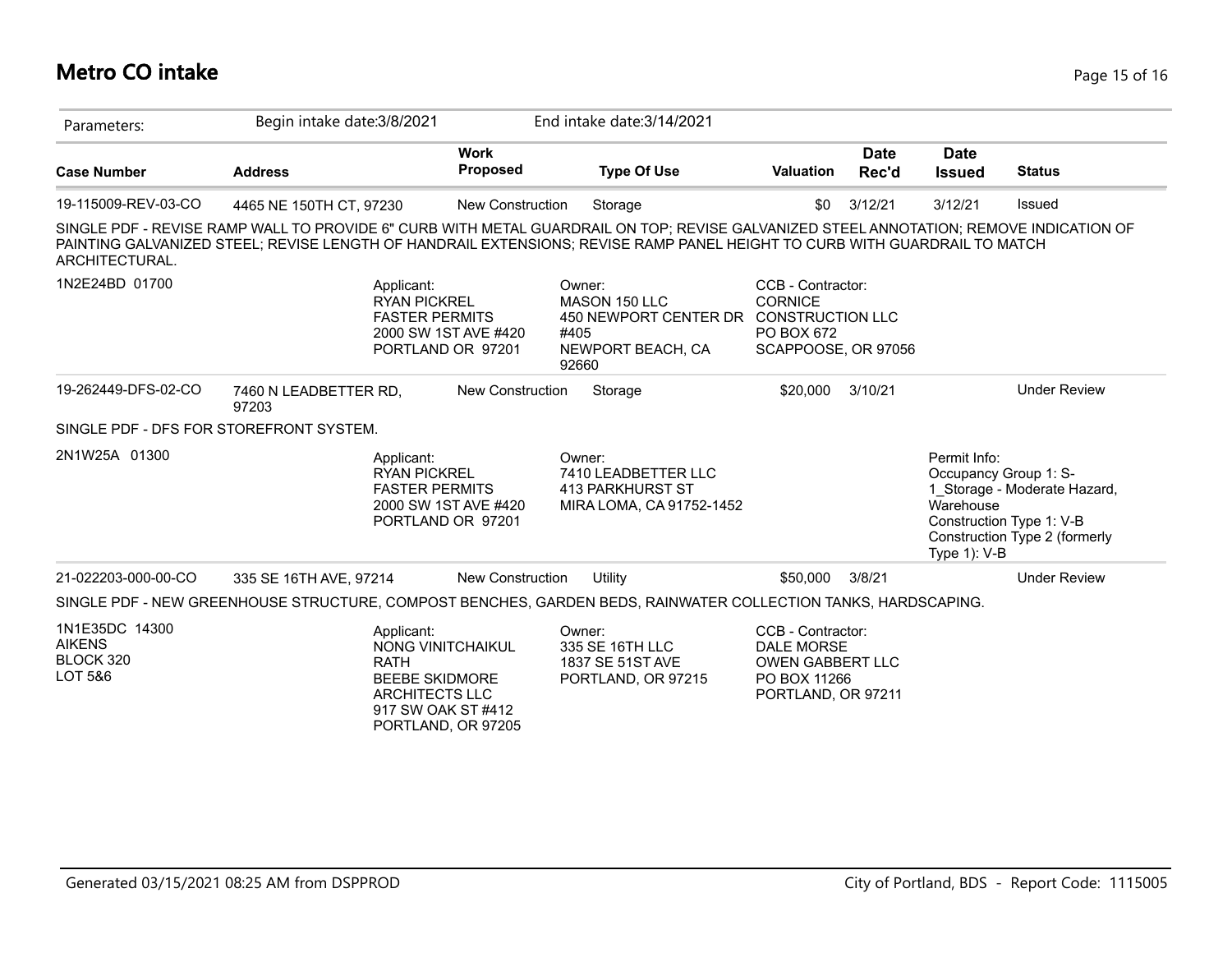# **Metro CO intake** Page 15 of 16

| Parameters:                                             | Begin intake date: 3/8/2021                                                                                                                                                                                                                                         |                                           | End intake date: 3/14/2021                                                                              |                                                                                                  |                      |                                                                                                                                                                 |                     |
|---------------------------------------------------------|---------------------------------------------------------------------------------------------------------------------------------------------------------------------------------------------------------------------------------------------------------------------|-------------------------------------------|---------------------------------------------------------------------------------------------------------|--------------------------------------------------------------------------------------------------|----------------------|-----------------------------------------------------------------------------------------------------------------------------------------------------------------|---------------------|
| <b>Case Number</b>                                      | <b>Address</b>                                                                                                                                                                                                                                                      | <b>Work</b><br><b>Proposed</b>            | <b>Type Of Use</b>                                                                                      | <b>Valuation</b>                                                                                 | <b>Date</b><br>Rec'd | <b>Date</b><br><b>Issued</b>                                                                                                                                    | <b>Status</b>       |
| 19-115009-REV-03-CO                                     | 4465 NE 150TH CT, 97230                                                                                                                                                                                                                                             | <b>New Construction</b>                   | Storage                                                                                                 | \$0                                                                                              | 3/12/21              | 3/12/21                                                                                                                                                         | Issued              |
| ARCHITECTURAL.                                          | SINGLE PDF - REVISE RAMP WALL TO PROVIDE 6" CURB WITH METAL GUARDRAIL ON TOP; REVISE GALVANIZED STEEL ANNOTATION; REMOVE INDICATION OF<br>PAINTING GALVANIZED STEEL; REVISE LENGTH OF HANDRAIL EXTENSIONS; REVISE RAMP PANEL HEIGHT TO CURB WITH GUARDRAIL TO MATCH |                                           |                                                                                                         |                                                                                                  |                      |                                                                                                                                                                 |                     |
| 1N2E24BD 01700                                          | Applicant:<br><b>RYAN PICKREL</b><br><b>FASTER PERMITS</b>                                                                                                                                                                                                          | 2000 SW 1ST AVE #420<br>PORTLAND OR 97201 | Owner:<br>MASON 150 LLC<br>450 NEWPORT CENTER DR CONSTRUCTION LLC<br>#405<br>NEWPORT BEACH, CA<br>92660 | CCB - Contractor:<br><b>CORNICE</b><br>PO BOX 672<br>SCAPPOOSE, OR 97056                         |                      |                                                                                                                                                                 |                     |
| 19-262449-DFS-02-CO                                     | 7460 N LEADBETTER RD,<br>97203                                                                                                                                                                                                                                      | <b>New Construction</b>                   | Storage                                                                                                 | \$20,000                                                                                         | 3/10/21              |                                                                                                                                                                 | <b>Under Review</b> |
|                                                         | SINGLE PDF - DFS FOR STOREFRONT SYSTEM.                                                                                                                                                                                                                             |                                           |                                                                                                         |                                                                                                  |                      |                                                                                                                                                                 |                     |
| 2N1W25A 01300                                           | Applicant:<br><b>RYAN PICKREL</b><br><b>FASTER PERMITS</b><br>2000 SW 1ST AVE #420<br>PORTLAND OR 97201                                                                                                                                                             |                                           | Owner:<br>7410 LEADBETTER LLC<br>413 PARKHURST ST<br>MIRA LOMA, CA 91752-1452                           |                                                                                                  |                      | Permit Info:<br>Occupancy Group 1: S-<br>1_Storage - Moderate Hazard,<br>Warehouse<br>Construction Type 1: V-B<br>Construction Type 2 (formerly<br>Type 1): V-B |                     |
| 21-022203-000-00-CO                                     | 335 SE 16TH AVE, 97214                                                                                                                                                                                                                                              | <b>New Construction</b>                   | <b>Utility</b>                                                                                          | \$50,000                                                                                         | 3/8/21               |                                                                                                                                                                 | <b>Under Review</b> |
|                                                         | SINGLE PDF - NEW GREENHOUSE STRUCTURE, COMPOST BENCHES, GARDEN BEDS, RAINWATER COLLECTION TANKS, HARDSCAPING.                                                                                                                                                       |                                           |                                                                                                         |                                                                                                  |                      |                                                                                                                                                                 |                     |
| 1N1E35DC 14300<br><b>AIKENS</b><br>BLOCK 320<br>LOT 5&6 | Applicant:<br>NONG VINITCHAIKUL<br><b>RATH</b><br><b>BEEBE SKIDMORE</b><br><b>ARCHITECTS LLC</b><br>917 SW OAK ST #412                                                                                                                                              | PORTLAND, OR 97205                        | Owner:<br>335 SE 16TH LLC<br>1837 SE 51ST AVE<br>PORTLAND, OR 97215                                     | CCB - Contractor:<br><b>DALE MORSE</b><br>OWEN GABBERT LLC<br>PO BOX 11266<br>PORTLAND, OR 97211 |                      |                                                                                                                                                                 |                     |